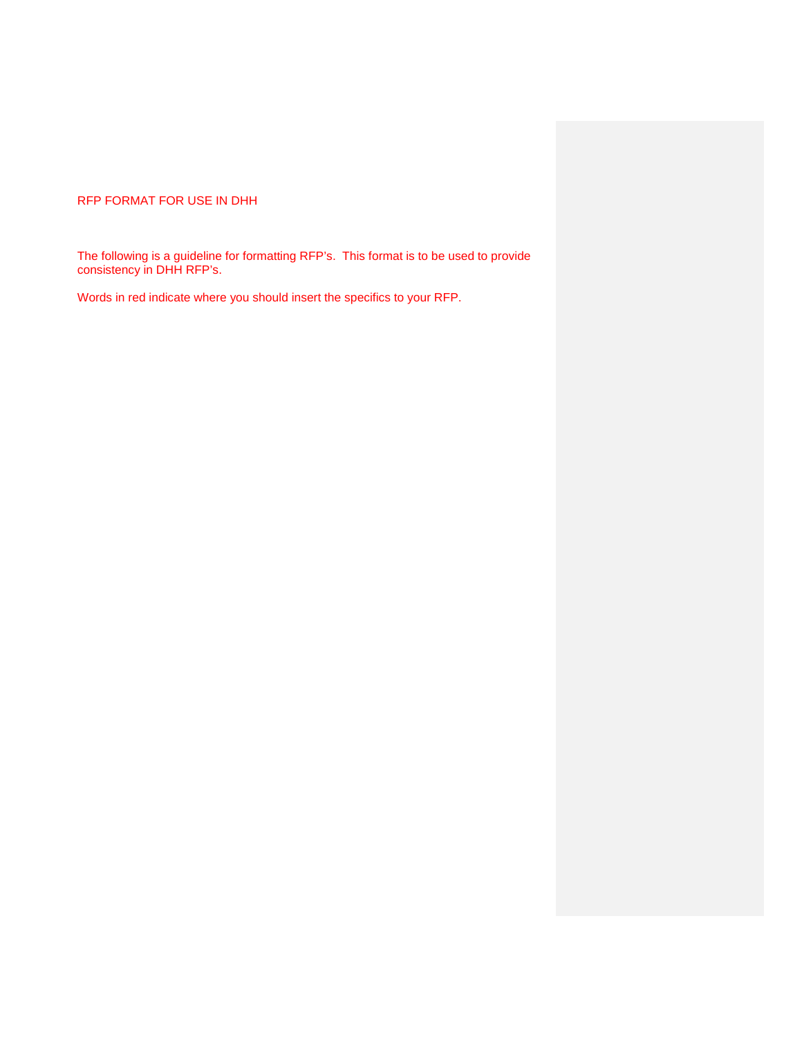# RFP FORMAT FOR USE IN DHH

The following is a guideline for formatting RFP's. This format is to be used to provide consistency in DHH RFP's.

Words in red indicate where you should insert the specifics to your RFP.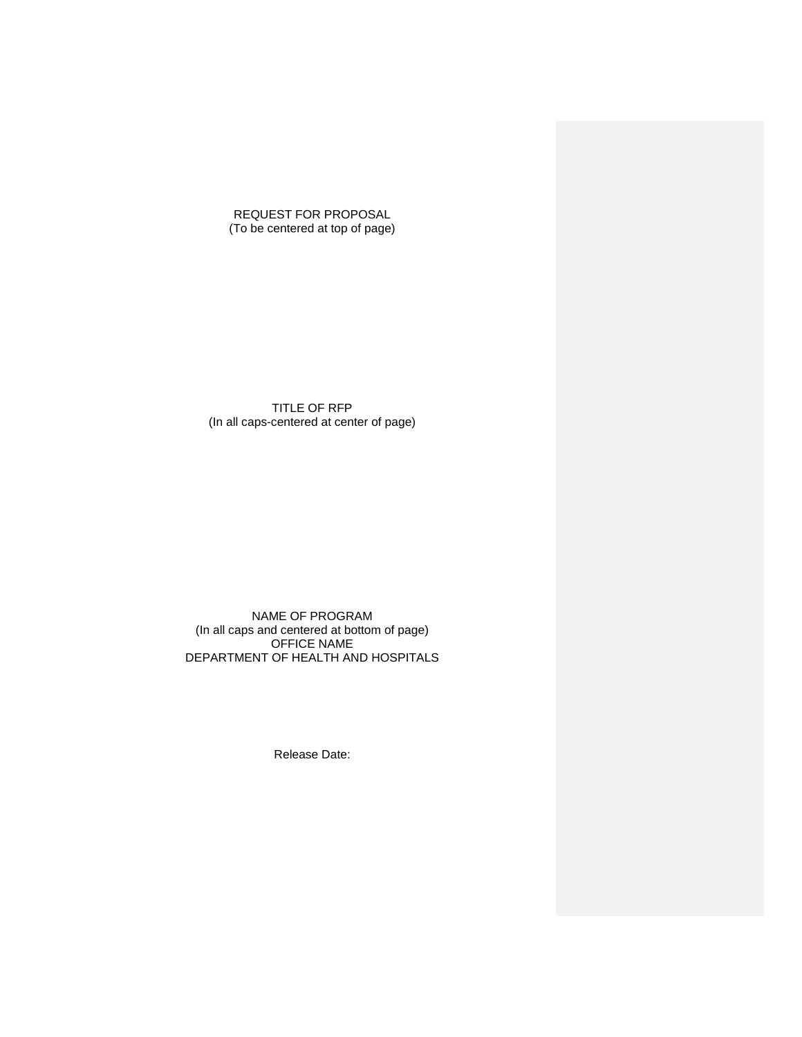REQUEST FOR PROPOSAL (To be centered at top of page)

TITLE OF RFP (In all caps-centered at center of page)

NAME OF PROGRAM (In all caps and centered at bottom of page) OFFICE NAME DEPARTMENT OF HEALTH AND HOSPITALS

Release Date: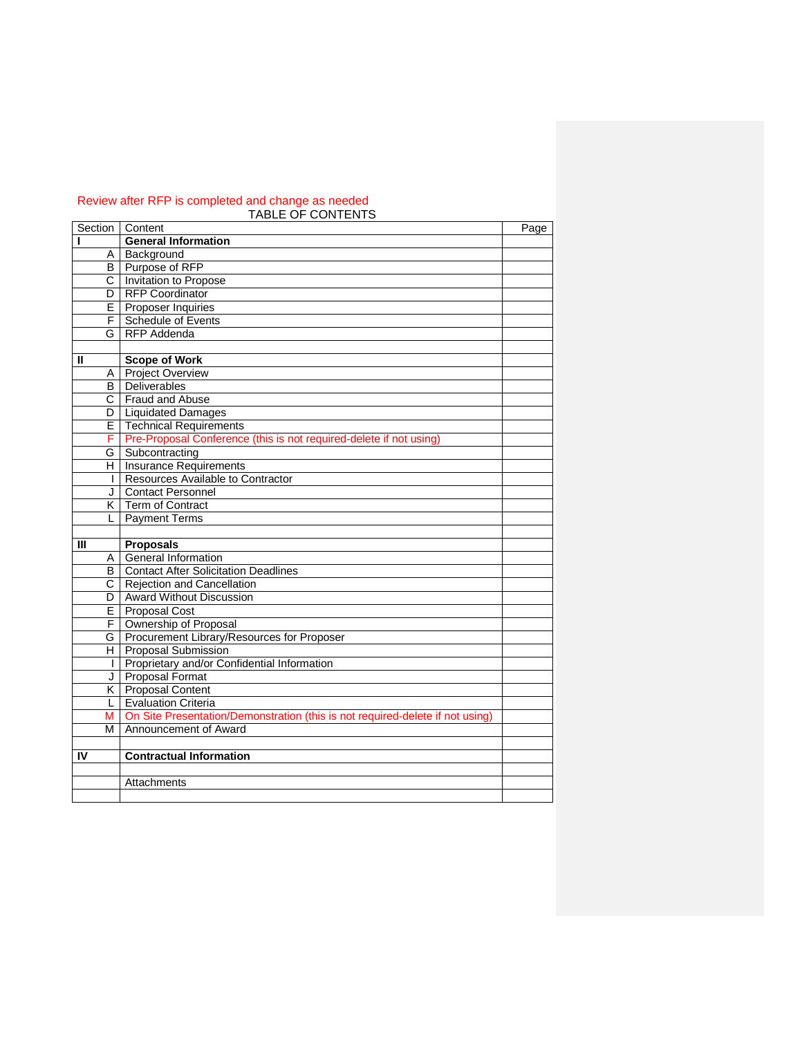# Review after RFP is completed and change as needed

|                | <b>TABLE OF CONTENTS</b>                                                      |      |
|----------------|-------------------------------------------------------------------------------|------|
| Section        | Content                                                                       | Page |
| ı              | <b>General Information</b>                                                    |      |
| A              | Background                                                                    |      |
| в              | Purpose of RFP                                                                |      |
| C              | Invitation to Propose                                                         |      |
| D              | <b>RFP Coordinator</b>                                                        |      |
| E.             | Proposer Inquiries                                                            |      |
| F.             | Schedule of Events                                                            |      |
| G.             | <b>RFP</b> Addenda                                                            |      |
|                |                                                                               |      |
| Ш              | <b>Scope of Work</b>                                                          |      |
| A              | <b>Project Overview</b>                                                       |      |
| в              | Deliverables                                                                  |      |
| C.             | <b>Fraud and Abuse</b>                                                        |      |
| D              | <b>Liquidated Damages</b>                                                     |      |
| E.             | <b>Technical Requirements</b>                                                 |      |
| F.             | Pre-Proposal Conference (this is not required-delete if not using)            |      |
| G              | Subcontracting                                                                |      |
| H.             | <b>Insurance Requirements</b>                                                 |      |
| $\mathbf{L}$   | Resources Available to Contractor                                             |      |
| J              | <b>Contact Personnel</b>                                                      |      |
| ĸ.             | Term of Contract                                                              |      |
| L              | <b>Payment Terms</b>                                                          |      |
|                |                                                                               |      |
| $\mathbf{III}$ | <b>Proposals</b>                                                              |      |
| A              | <b>General Information</b>                                                    |      |
| B              | <b>Contact After Solicitation Deadlines</b>                                   |      |
| C.             | <b>Rejection and Cancellation</b>                                             |      |
| D              | <b>Award Without Discussion</b>                                               |      |
| E.             | <b>Proposal Cost</b>                                                          |      |
| F.             | Ownership of Proposal                                                         |      |
| G              | Procurement Library/Resources for Proposer                                    |      |
| H.             | Proposal Submission                                                           |      |
| $\mathbf{L}$   | Proprietary and/or Confidential Information                                   |      |
| J              | <b>Proposal Format</b>                                                        |      |
| ĸ.             | <b>Proposal Content</b>                                                       |      |
| L              | <b>Evaluation Criteria</b>                                                    |      |
| м              | On Site Presentation/Demonstration (this is not required-delete if not using) |      |
| м              | Announcement of Award                                                         |      |
|                |                                                                               |      |
| IV             | <b>Contractual Information</b>                                                |      |
|                |                                                                               |      |
|                | Attachments                                                                   |      |
|                |                                                                               |      |
|                |                                                                               |      |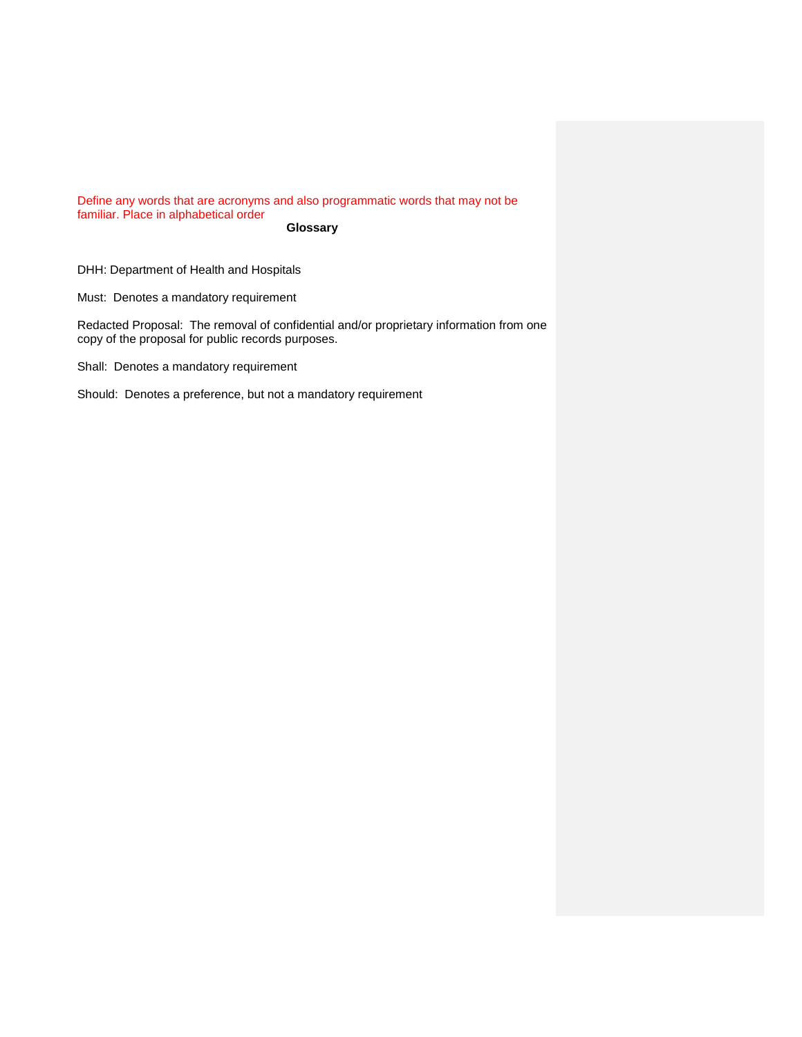Define any words that are acronyms and also programmatic words that may not be familiar. Place in alphabetical order

**Glossary**

DHH: Department of Health and Hospitals

Must: Denotes a mandatory requirement

Redacted Proposal: The removal of confidential and/or proprietary information from one copy of the proposal for public records purposes.

Shall: Denotes a mandatory requirement

Should: Denotes a preference, but not a mandatory requirement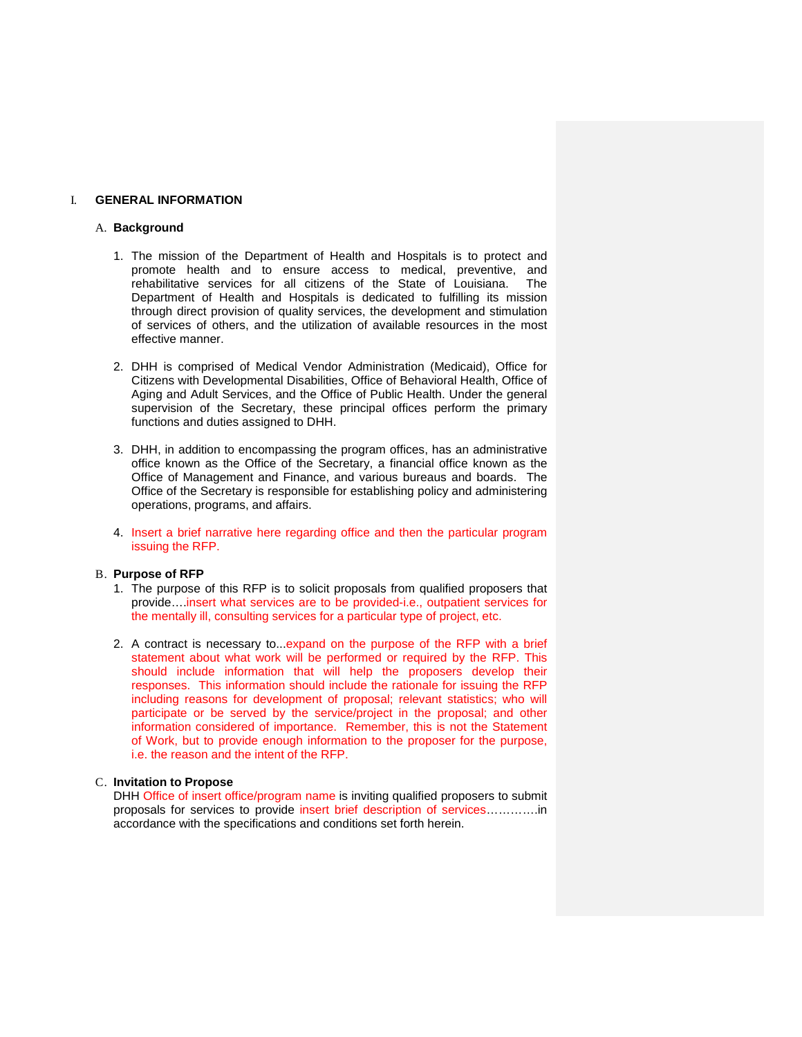### I. **GENERAL INFORMATION**

### A. **Background**

- 1. The mission of the Department of Health and Hospitals is to protect and promote health and to ensure access to medical, preventive, and rehabilitative services for all citizens of the State of Louisiana. The Department of Health and Hospitals is dedicated to fulfilling its mission through direct provision of quality services, the development and stimulation of services of others, and the utilization of available resources in the most effective manner.
- 2. DHH is comprised of Medical Vendor Administration (Medicaid), Office for Citizens with Developmental Disabilities, Office of Behavioral Health, Office of Aging and Adult Services, and the Office of Public Health. Under the general supervision of the Secretary, these principal offices perform the primary functions and duties assigned to DHH.
- 3. DHH, in addition to encompassing the program offices, has an administrative office known as the Office of the Secretary, a financial office known as the Office of Management and Finance, and various bureaus and boards. The Office of the Secretary is responsible for establishing policy and administering operations, programs, and affairs.
- 4. Insert a brief narrative here regarding office and then the particular program issuing the RFP.

### B. **Purpose of RFP**

- 1. The purpose of this RFP is to solicit proposals from qualified proposers that provide….insert what services are to be provided-i.e., outpatient services for the mentally ill, consulting services for a particular type of project, etc.
- 2. A contract is necessary to...expand on the purpose of the RFP with a brief statement about what work will be performed or required by the RFP. This should include information that will help the proposers develop their responses. This information should include the rationale for issuing the RFP including reasons for development of proposal; relevant statistics; who will participate or be served by the service/project in the proposal; and other information considered of importance. Remember, this is not the Statement of Work, but to provide enough information to the proposer for the purpose, i.e. the reason and the intent of the RFP.

### C. **Invitation to Propose**

DHH Office of insert office/program name is inviting qualified proposers to submit proposals for services to provide insert brief description of services………….in accordance with the specifications and conditions set forth herein.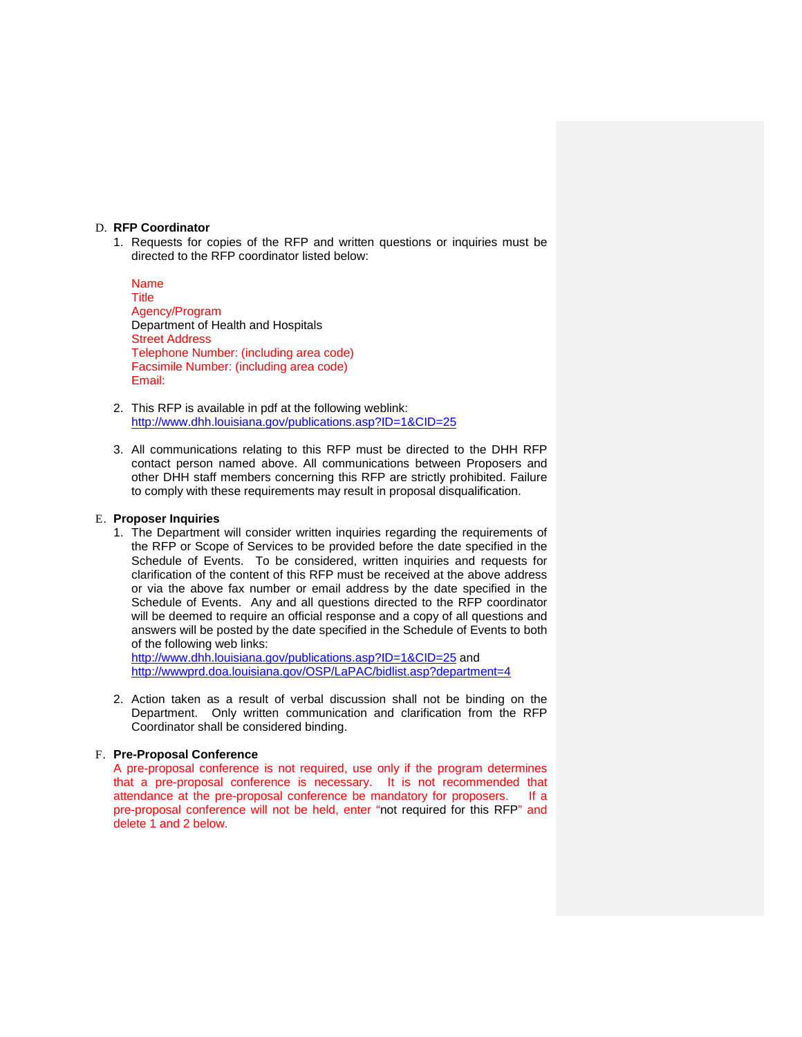### D. **RFP Coordinator**

1. Requests for copies of the RFP and written questions or inquiries must be directed to the RFP coordinator listed below:

Name **Title** Agency/Program Department of Health and Hospitals Street Address Telephone Number: (including area code) Facsimile Number: (including area code) Email:

- 2. This RFP is available in pdf at the following weblink: <http://www.dhh.louisiana.gov/publications.asp?ID=1&CID=25>
- 3. All communications relating to this RFP must be directed to the DHH RFP contact person named above. All communications between Proposers and other DHH staff members concerning this RFP are strictly prohibited. Failure to comply with these requirements may result in proposal disqualification.

### E. **Proposer Inquiries**

1. The Department will consider written inquiries regarding the requirements of the RFP or Scope of Services to be provided before the date specified in the Schedule of Events. To be considered, written inquiries and requests for clarification of the content of this RFP must be received at the above address or via the above fax number or email address by the date specified in the Schedule of Events. Any and all questions directed to the RFP coordinator will be deemed to require an official response and a copy of all questions and answers will be posted by the date specified in the Schedule of Events to both of the following web links:

<http://www.dhh.louisiana.gov/publications.asp?ID=1&CID=25> and <http://wwwprd.doa.louisiana.gov/OSP/LaPAC/bidlist.asp?department=4>

2. Action taken as a result of verbal discussion shall not be binding on the Department. Only written communication and clarification from the RFP Coordinator shall be considered binding.

### F. **Pre-Proposal Conference**

A pre-proposal conference is not required, use only if the program determines that a pre-proposal conference is necessary. It is not recommended that attendance at the pre-proposal conference be mandatory for proposers. If a pre-proposal conference will not be held, enter "not required for this RFP" and delete 1 and 2 below.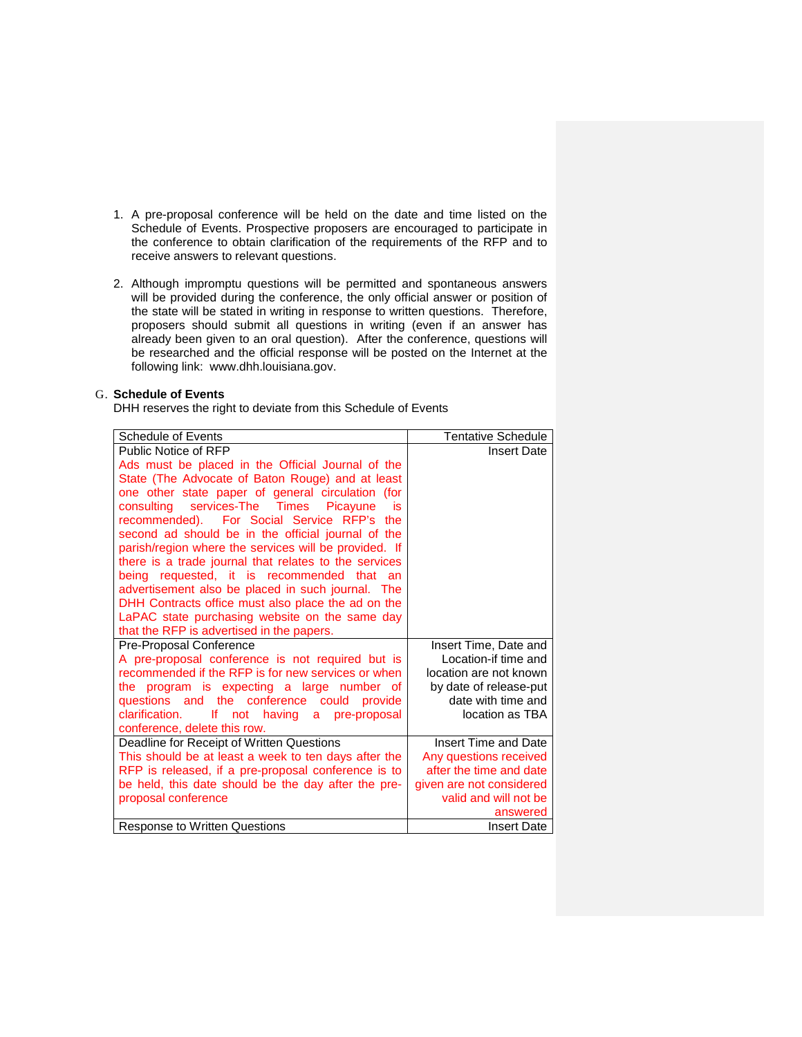- 1. A pre-proposal conference will be held on the date and time listed on the Schedule of Events. Prospective proposers are encouraged to participate in the conference to obtain clarification of the requirements of the RFP and to receive answers to relevant questions.
- 2. Although impromptu questions will be permitted and spontaneous answers will be provided during the conference, the only official answer or position of the state will be stated in writing in response to written questions. Therefore, proposers should submit all questions in writing (even if an answer has already been given to an oral question). After the conference, questions will be researched and the official response will be posted on the Internet at the following link: www.dhh.louisiana.gov.

### G. **Schedule of Events**

DHH reserves the right to deviate from this Schedule of Events

| <b>Schedule of Events</b>                             | <b>Tentative Schedule</b> |
|-------------------------------------------------------|---------------------------|
| Public Notice of RFP                                  | <b>Insert Date</b>        |
| Ads must be placed in the Official Journal of the     |                           |
| State (The Advocate of Baton Rouge) and at least      |                           |
| one other state paper of general circulation (for     |                           |
| consulting services-The Times<br>Picayune<br>is.      |                           |
| recommended). For Social Service RFP's the            |                           |
| second ad should be in the official journal of the    |                           |
| parish/region where the services will be provided. If |                           |
| there is a trade journal that relates to the services |                           |
| being requested, it is recommended that an            |                           |
| advertisement also be placed in such journal. The     |                           |
| DHH Contracts office must also place the ad on the    |                           |
| LaPAC state purchasing website on the same day        |                           |
| that the RFP is advertised in the papers.             |                           |
| Pre-Proposal Conference                               | Insert Time, Date and     |
| A pre-proposal conference is not required but is      | Location-if time and      |
| recommended if the RFP is for new services or when    | location are not known    |
| the program is expecting a large number of            | by date of release-put    |
| questions and the conference could provide            | date with time and        |
| clarification.<br>If not having<br>a pre-proposal     | location as TBA           |
| conference, delete this row.                          |                           |
| Deadline for Receipt of Written Questions             | Insert Time and Date      |
| This should be at least a week to ten days after the  | Any questions received    |
| RFP is released, if a pre-proposal conference is to   | after the time and date   |
| be held, this date should be the day after the pre-   | given are not considered  |
| proposal conference                                   | valid and will not be     |
|                                                       | answered                  |
| Response to Written Questions                         | <b>Insert Date</b>        |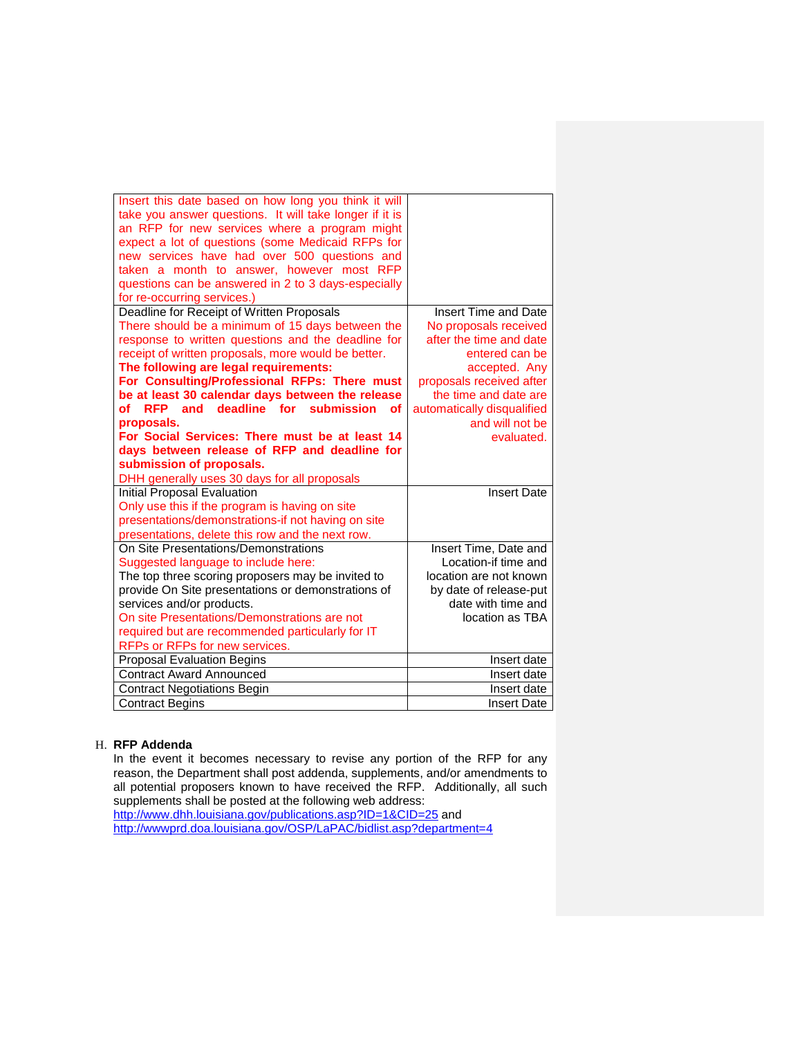| Insert this date based on how long you think it will    |                            |
|---------------------------------------------------------|----------------------------|
| take you answer questions. It will take longer if it is |                            |
| an RFP for new services where a program might           |                            |
| expect a lot of questions (some Medicaid RFPs for       |                            |
| new services have had over 500 questions and            |                            |
| taken a month to answer, however most RFP               |                            |
| questions can be answered in 2 to 3 days-especially     |                            |
| for re-occurring services.)                             |                            |
| Deadline for Receipt of Written Proposals               | Insert Time and Date       |
| There should be a minimum of 15 days between the        | No proposals received      |
| response to written questions and the deadline for      | after the time and date    |
| receipt of written proposals, more would be better.     | entered can be             |
| The following are legal requirements:                   | accepted. Any              |
| For Consulting/Professional RFPs: There must            | proposals received after   |
| be at least 30 calendar days between the release        | the time and date are      |
| and deadline for submission<br><b>RFP</b><br>Ωf<br>οf   | automatically disqualified |
| proposals.                                              | and will not be            |
| For Social Services: There must be at least 14          | evaluated.                 |
| days between release of RFP and deadline for            |                            |
| submission of proposals.                                |                            |
| DHH generally uses 30 days for all proposals            |                            |
| Initial Proposal Evaluation                             | <b>Insert Date</b>         |
| Only use this if the program is having on site          |                            |
| presentations/demonstrations-if not having on site      |                            |
| presentations, delete this row and the next row.        |                            |
| On Site Presentations/Demonstrations                    | Insert Time, Date and      |
| Suggested language to include here:                     | Location-if time and       |
| The top three scoring proposers may be invited to       | location are not known     |
| provide On Site presentations or demonstrations of      | by date of release-put     |
| services and/or products.                               | date with time and         |
| On site Presentations/Demonstrations are not            | location as TBA            |
| required but are recommended particularly for IT        |                            |
| RFPs or RFPs for new services.                          |                            |
| <b>Proposal Evaluation Begins</b>                       | Insert date                |
| <b>Contract Award Announced</b>                         | Insert date                |
| <b>Contract Negotiations Begin</b>                      | Insert date                |
| <b>Contract Begins</b>                                  | <b>Insert Date</b>         |

# H. **RFP Addenda**

In the event it becomes necessary to revise any portion of the RFP for any reason, the Department shall post addenda, supplements, and/or amendments to all potential proposers known to have received the RFP. Additionally, all such supplements shall be posted at the following web address:

<http://www.dhh.louisiana.gov/publications.asp?ID=1&CID=25> and <http://wwwprd.doa.louisiana.gov/OSP/LaPAC/bidlist.asp?department=4>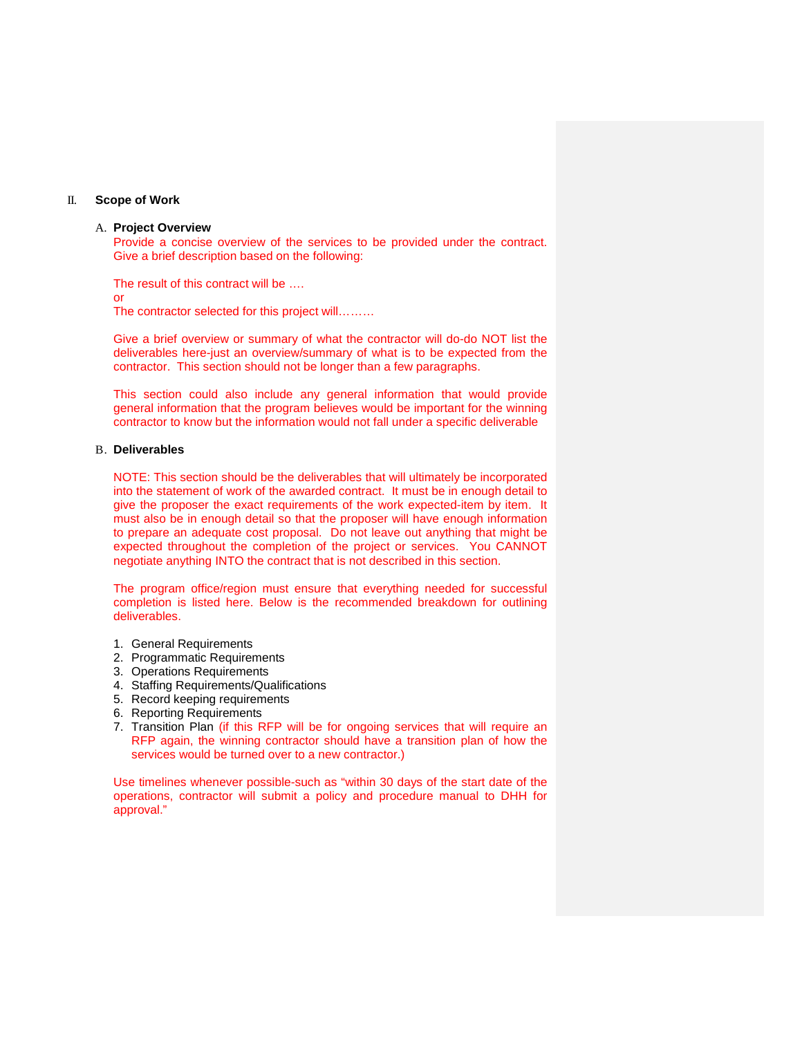### II. **Scope of Work**

### A. **Project Overview**

Provide a concise overview of the services to be provided under the contract. Give a brief description based on the following:

The result of this contract will be …. or The contractor selected for this project will………

Give a brief overview or summary of what the contractor will do-do NOT list the deliverables here-just an overview/summary of what is to be expected from the contractor. This section should not be longer than a few paragraphs.

This section could also include any general information that would provide general information that the program believes would be important for the winning contractor to know but the information would not fall under a specific deliverable

### B. **Deliverables**

NOTE: This section should be the deliverables that will ultimately be incorporated into the statement of work of the awarded contract. It must be in enough detail to give the proposer the exact requirements of the work expected-item by item. It must also be in enough detail so that the proposer will have enough information to prepare an adequate cost proposal. Do not leave out anything that might be expected throughout the completion of the project or services. You CANNOT negotiate anything INTO the contract that is not described in this section.

The program office/region must ensure that everything needed for successful completion is listed here. Below is the recommended breakdown for outlining deliverables.

- 1. General Requirements
- 2. Programmatic Requirements
- 3. Operations Requirements
- 4. Staffing Requirements/Qualifications
- 5. Record keeping requirements
- 6. Reporting Requirements
- 7. Transition Plan (if this RFP will be for ongoing services that will require an RFP again, the winning contractor should have a transition plan of how the services would be turned over to a new contractor.)

Use timelines whenever possible-such as "within 30 days of the start date of the operations, contractor will submit a policy and procedure manual to DHH for approval."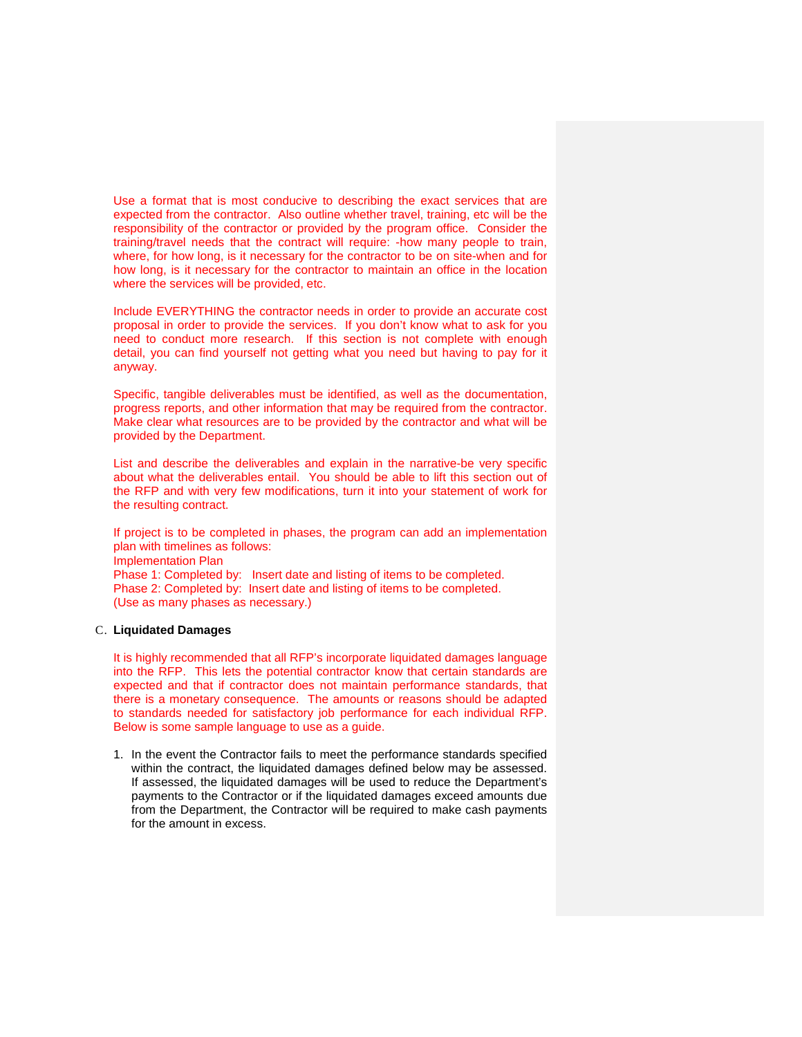Use a format that is most conducive to describing the exact services that are expected from the contractor. Also outline whether travel, training, etc will be the responsibility of the contractor or provided by the program office. Consider the training/travel needs that the contract will require: -how many people to train, where, for how long, is it necessary for the contractor to be on site-when and for how long, is it necessary for the contractor to maintain an office in the location where the services will be provided, etc.

Include EVERYTHING the contractor needs in order to provide an accurate cost proposal in order to provide the services. If you don't know what to ask for you need to conduct more research. If this section is not complete with enough detail, you can find yourself not getting what you need but having to pay for it anyway.

Specific, tangible deliverables must be identified, as well as the documentation, progress reports, and other information that may be required from the contractor. Make clear what resources are to be provided by the contractor and what will be provided by the Department.

List and describe the deliverables and explain in the narrative-be very specific about what the deliverables entail. You should be able to lift this section out of the RFP and with very few modifications, turn it into your statement of work for the resulting contract.

If project is to be completed in phases, the program can add an implementation plan with timelines as follows: Implementation Plan Phase 1: Completed by: Insert date and listing of items to be completed. Phase 2: Completed by: Insert date and listing of items to be completed. (Use as many phases as necessary.)

### C. **Liquidated Damages**

It is highly recommended that all RFP's incorporate liquidated damages language into the RFP. This lets the potential contractor know that certain standards are expected and that if contractor does not maintain performance standards, that there is a monetary consequence. The amounts or reasons should be adapted to standards needed for satisfactory job performance for each individual RFP. Below is some sample language to use as a guide.

1. In the event the Contractor fails to meet the performance standards specified within the contract, the liquidated damages defined below may be assessed. If assessed, the liquidated damages will be used to reduce the Department's payments to the Contractor or if the liquidated damages exceed amounts due from the Department, the Contractor will be required to make cash payments for the amount in excess.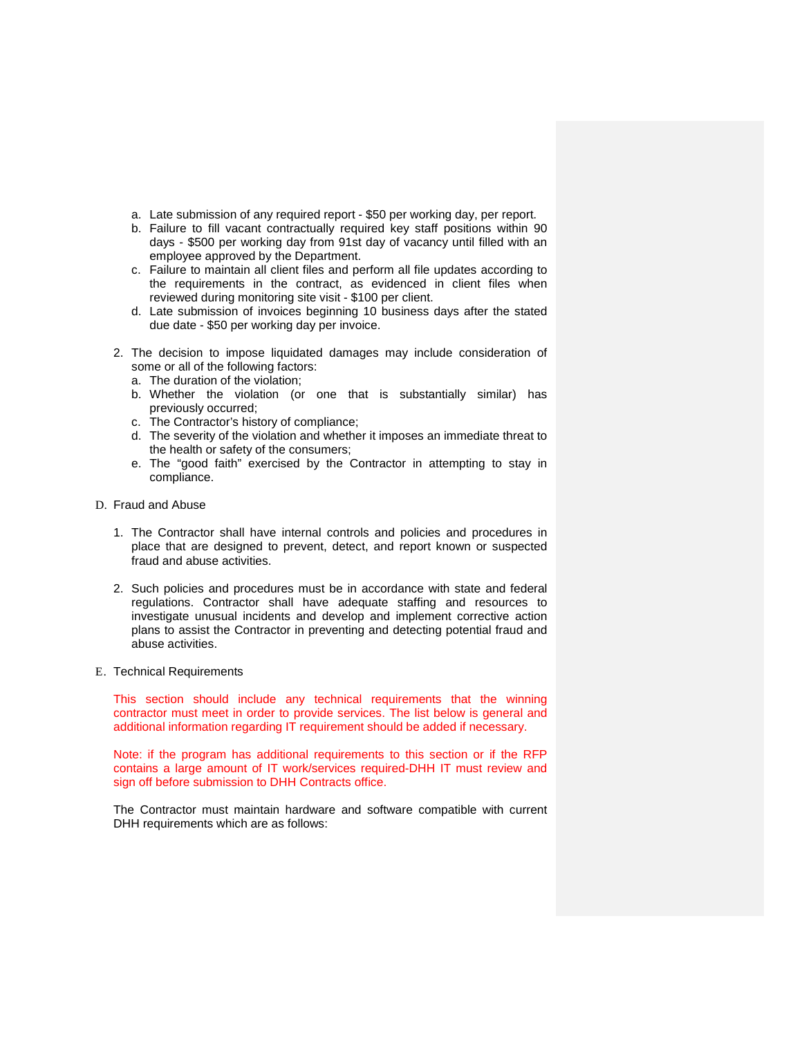- a. Late submission of any required report \$50 per working day, per report.
- b. Failure to fill vacant contractually required key staff positions within 90 days - \$500 per working day from 91st day of vacancy until filled with an employee approved by the Department.
- c. Failure to maintain all client files and perform all file updates according to the requirements in the contract, as evidenced in client files when reviewed during monitoring site visit - \$100 per client.
- d. Late submission of invoices beginning 10 business days after the stated due date - \$50 per working day per invoice.
- 2. The decision to impose liquidated damages may include consideration of some or all of the following factors:
	- a. The duration of the violation;
	- b. Whether the violation (or one that is substantially similar) has previously occurred;
	- c. The Contractor's history of compliance;
	- d. The severity of the violation and whether it imposes an immediate threat to the health or safety of the consumers;
	- e. The "good faith" exercised by the Contractor in attempting to stay in compliance.
- D. Fraud and Abuse
	- 1. The Contractor shall have internal controls and policies and procedures in place that are designed to prevent, detect, and report known or suspected fraud and abuse activities.
	- 2. Such policies and procedures must be in accordance with state and federal regulations. Contractor shall have adequate staffing and resources to investigate unusual incidents and develop and implement corrective action plans to assist the Contractor in preventing and detecting potential fraud and abuse activities.
- E. Technical Requirements

This section should include any technical requirements that the winning contractor must meet in order to provide services. The list below is general and additional information regarding IT requirement should be added if necessary.

Note: if the program has additional requirements to this section or if the RFP contains a large amount of IT work/services required-DHH IT must review and sign off before submission to DHH Contracts office.

The Contractor must maintain hardware and software compatible with current DHH requirements which are as follows: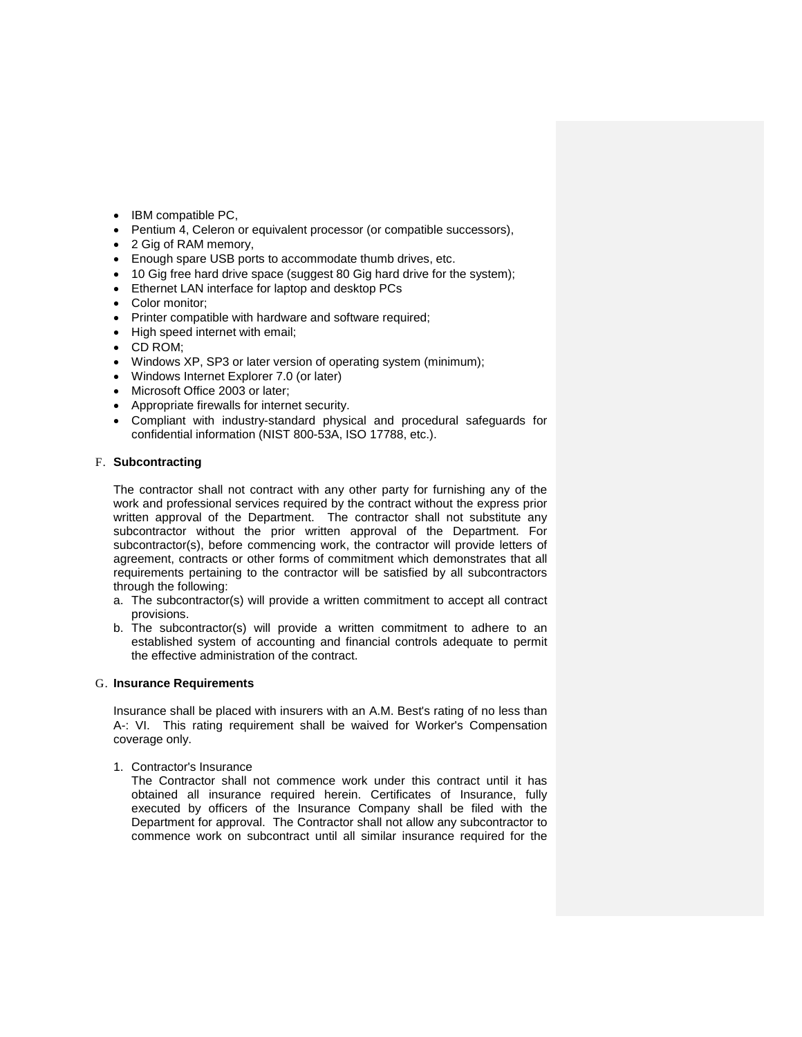- IBM compatible PC,
- Pentium 4, Celeron or equivalent processor (or compatible successors),
- 2 Gig of RAM memory,
- Enough spare USB ports to accommodate thumb drives, etc.
- 10 Gig free hard drive space (suggest 80 Gig hard drive for the system);
- Ethernet LAN interface for laptop and desktop PCs
- Color monitor;
- Printer compatible with hardware and software required;
- High speed internet with email;
- CD ROM;
- Windows XP, SP3 or later version of operating system (minimum);
- Windows Internet Explorer 7.0 (or later)
- Microsoft Office 2003 or later;
- Appropriate firewalls for internet security.
- Compliant with industry-standard physical and procedural safeguards for confidential information (NIST 800-53A, ISO 17788, etc.).

### F. **Subcontracting**

The contractor shall not contract with any other party for furnishing any of the work and professional services required by the contract without the express prior written approval of the Department. The contractor shall not substitute any subcontractor without the prior written approval of the Department. For subcontractor(s), before commencing work, the contractor will provide letters of agreement, contracts or other forms of commitment which demonstrates that all requirements pertaining to the contractor will be satisfied by all subcontractors through the following:

- a. The subcontractor(s) will provide a written commitment to accept all contract provisions.
- b. The subcontractor(s) will provide a written commitment to adhere to an established system of accounting and financial controls adequate to permit the effective administration of the contract.

# G. **Insurance Requirements**

Insurance shall be placed with insurers with an A.M. Best's rating of no less than A-: VI. This rating requirement shall be waived for Worker's Compensation coverage only.

1. Contractor's Insurance

The Contractor shall not commence work under this contract until it has obtained all insurance required herein. Certificates of Insurance, fully executed by officers of the Insurance Company shall be filed with the Department for approval. The Contractor shall not allow any subcontractor to commence work on subcontract until all similar insurance required for the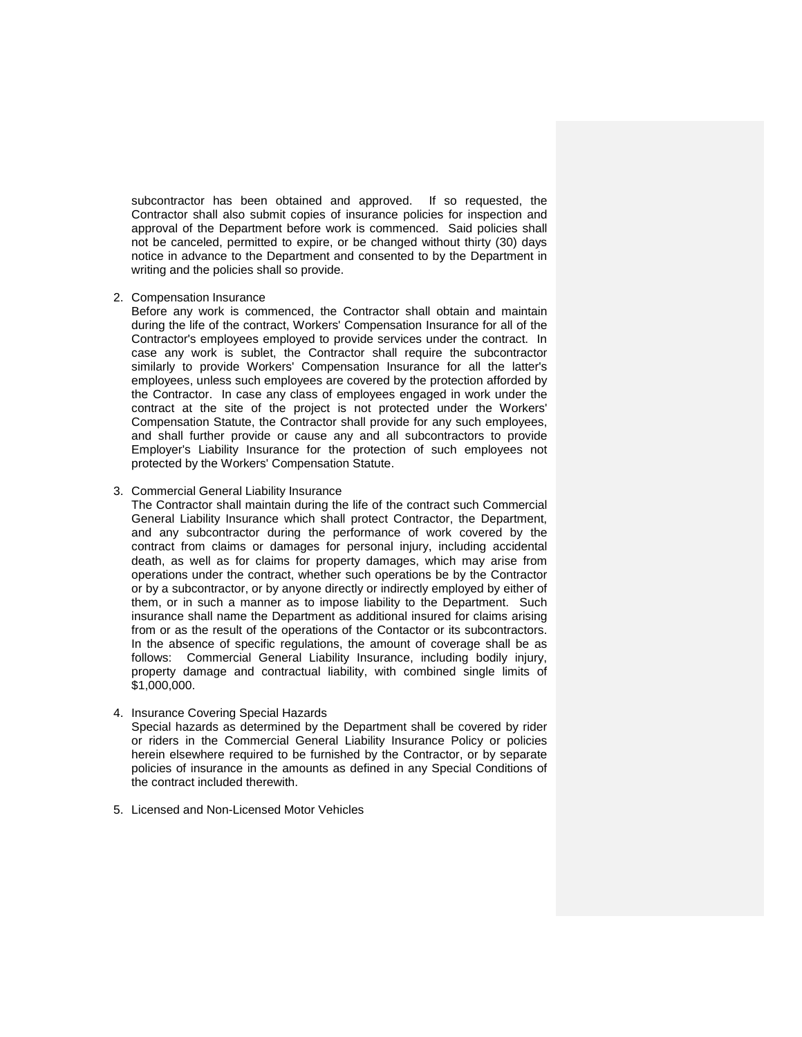subcontractor has been obtained and approved. If so requested, the Contractor shall also submit copies of insurance policies for inspection and approval of the Department before work is commenced. Said policies shall not be canceled, permitted to expire, or be changed without thirty (30) days notice in advance to the Department and consented to by the Department in writing and the policies shall so provide.

2. Compensation Insurance

Before any work is commenced, the Contractor shall obtain and maintain during the life of the contract, Workers' Compensation Insurance for all of the Contractor's employees employed to provide services under the contract. In case any work is sublet, the Contractor shall require the subcontractor similarly to provide Workers' Compensation Insurance for all the latter's employees, unless such employees are covered by the protection afforded by the Contractor. In case any class of employees engaged in work under the contract at the site of the project is not protected under the Workers' Compensation Statute, the Contractor shall provide for any such employees, and shall further provide or cause any and all subcontractors to provide Employer's Liability Insurance for the protection of such employees not protected by the Workers' Compensation Statute.

3. Commercial General Liability Insurance

The Contractor shall maintain during the life of the contract such Commercial General Liability Insurance which shall protect Contractor, the Department, and any subcontractor during the performance of work covered by the contract from claims or damages for personal injury, including accidental death, as well as for claims for property damages, which may arise from operations under the contract, whether such operations be by the Contractor or by a subcontractor, or by anyone directly or indirectly employed by either of them, or in such a manner as to impose liability to the Department. Such insurance shall name the Department as additional insured for claims arising from or as the result of the operations of the Contactor or its subcontractors. In the absence of specific regulations, the amount of coverage shall be as follows: Commercial General Liability Insurance, including bodily injury, property damage and contractual liability, with combined single limits of \$1,000,000.

4. Insurance Covering Special Hazards

Special hazards as determined by the Department shall be covered by rider or riders in the Commercial General Liability Insurance Policy or policies herein elsewhere required to be furnished by the Contractor, or by separate policies of insurance in the amounts as defined in any Special Conditions of the contract included therewith.

5. Licensed and Non-Licensed Motor Vehicles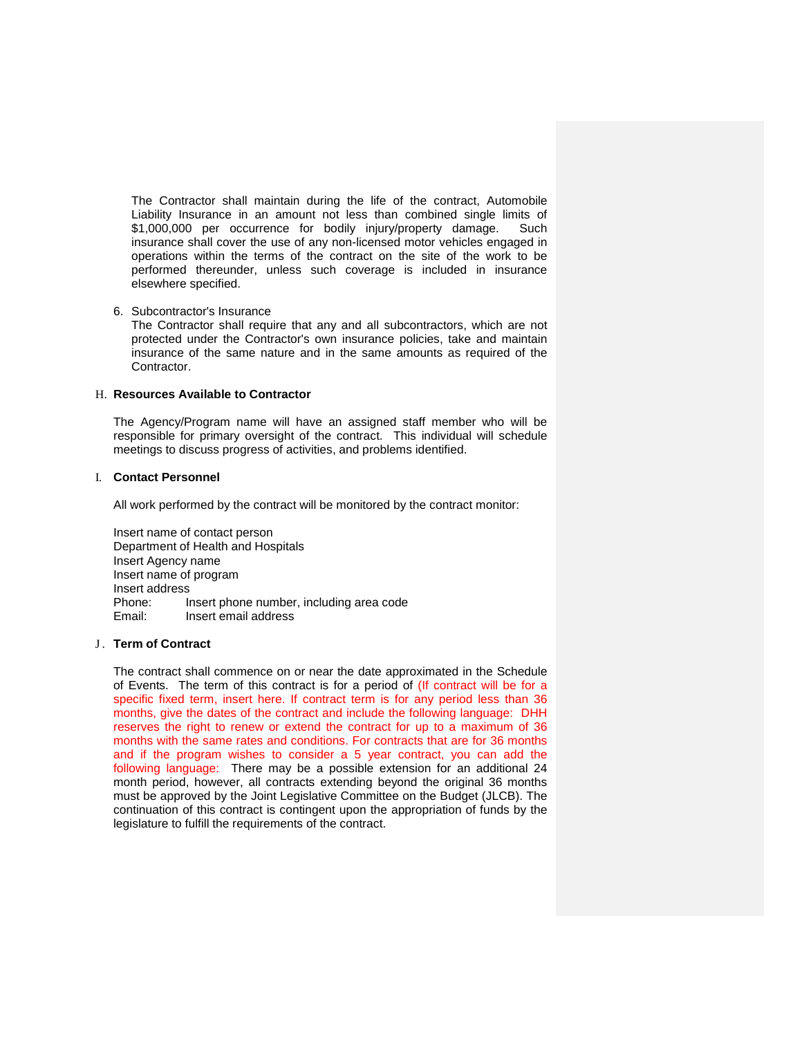The Contractor shall maintain during the life of the contract, Automobile Liability Insurance in an amount not less than combined single limits of \$1,000,000 per occurrence for bodily injury/property damage. Such insurance shall cover the use of any non-licensed motor vehicles engaged in operations within the terms of the contract on the site of the work to be performed thereunder, unless such coverage is included in insurance elsewhere specified.

### 6. Subcontractor's Insurance

The Contractor shall require that any and all subcontractors, which are not protected under the Contractor's own insurance policies, take and maintain insurance of the same nature and in the same amounts as required of the Contractor.

### H. **Resources Available to Contractor**

The Agency/Program name will have an assigned staff member who will be responsible for primary oversight of the contract. This individual will schedule meetings to discuss progress of activities, and problems identified.

### I. **Contact Personnel**

All work performed by the contract will be monitored by the contract monitor:

Insert name of contact person Department of Health and Hospitals Insert Agency name Insert name of program Insert address<br>Phone: lr Insert phone number, including area code Email: Insert email address

### J . **Term of Contract**

The contract shall commence on or near the date approximated in the Schedule of Events. The term of this contract is for a period of (If contract will be for a specific fixed term, insert here. If contract term is for any period less than 36 months, give the dates of the contract and include the following language: DHH reserves the right to renew or extend the contract for up to a maximum of 36 months with the same rates and conditions. For contracts that are for 36 months and if the program wishes to consider a 5 year contract, you can add the following language: There may be a possible extension for an additional 24 month period, however, all contracts extending beyond the original 36 months must be approved by the Joint Legislative Committee on the Budget (JLCB). The continuation of this contract is contingent upon the appropriation of funds by the legislature to fulfill the requirements of the contract.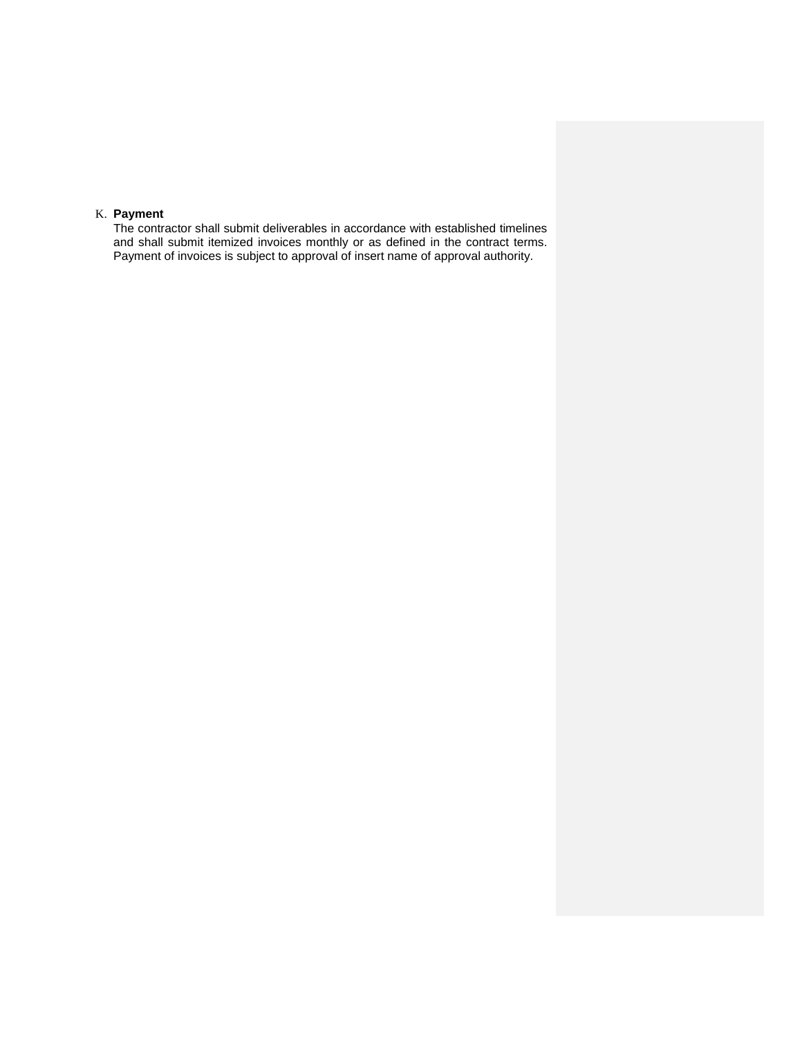# K. **Payment**

The contractor shall submit deliverables in accordance with established timelines and shall submit itemized invoices monthly or as defined in the contract terms. Payment of invoices is subject to approval of insert name of approval authority.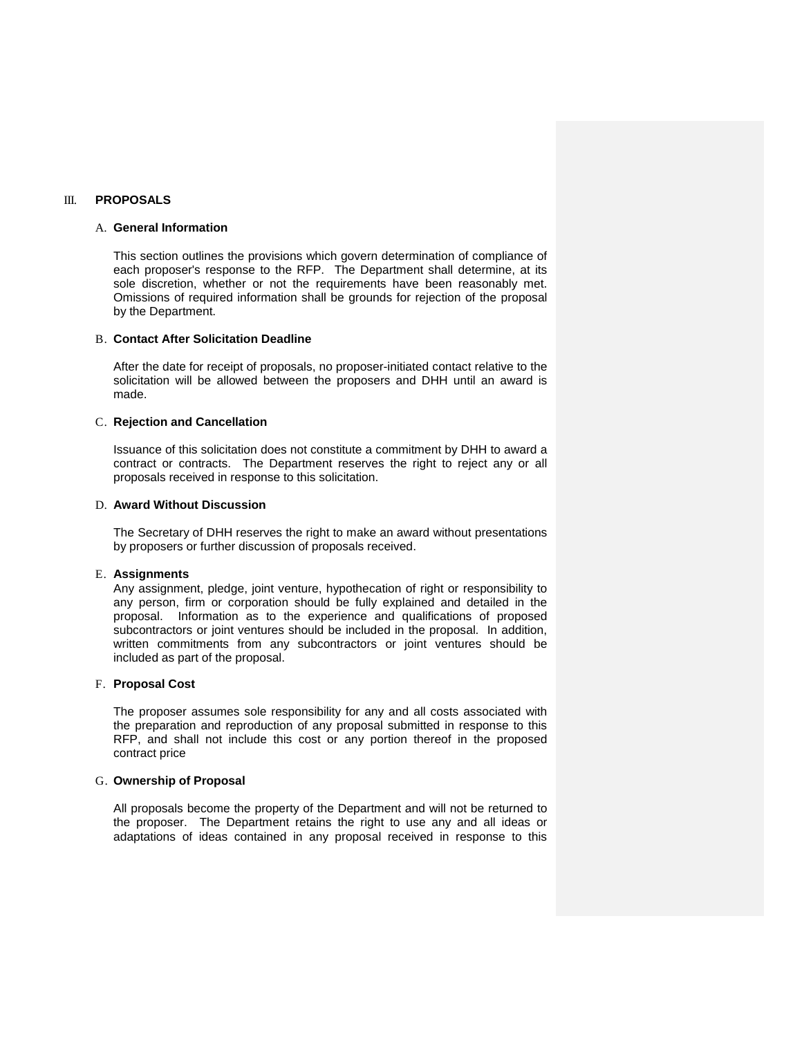### III. **PROPOSALS**

### A. **General Information**

This section outlines the provisions which govern determination of compliance of each proposer's response to the RFP. The Department shall determine, at its sole discretion, whether or not the requirements have been reasonably met. Omissions of required information shall be grounds for rejection of the proposal by the Department.

### B. **Contact After Solicitation Deadline**

After the date for receipt of proposals, no proposer-initiated contact relative to the solicitation will be allowed between the proposers and DHH until an award is made.

#### C. **Rejection and Cancellation**

Issuance of this solicitation does not constitute a commitment by DHH to award a contract or contracts. The Department reserves the right to reject any or all proposals received in response to this solicitation.

### D. **Award Without Discussion**

The Secretary of DHH reserves the right to make an award without presentations by proposers or further discussion of proposals received.

### E. **Assignments**

Any assignment, pledge, joint venture, hypothecation of right or responsibility to any person, firm or corporation should be fully explained and detailed in the proposal. Information as to the experience and qualifications of proposed subcontractors or joint ventures should be included in the proposal. In addition, written commitments from any subcontractors or joint ventures should be included as part of the proposal.

### F. **Proposal Cost**

The proposer assumes sole responsibility for any and all costs associated with the preparation and reproduction of any proposal submitted in response to this RFP, and shall not include this cost or any portion thereof in the proposed contract price

#### G. **Ownership of Proposal**

All proposals become the property of the Department and will not be returned to the proposer. The Department retains the right to use any and all ideas or adaptations of ideas contained in any proposal received in response to this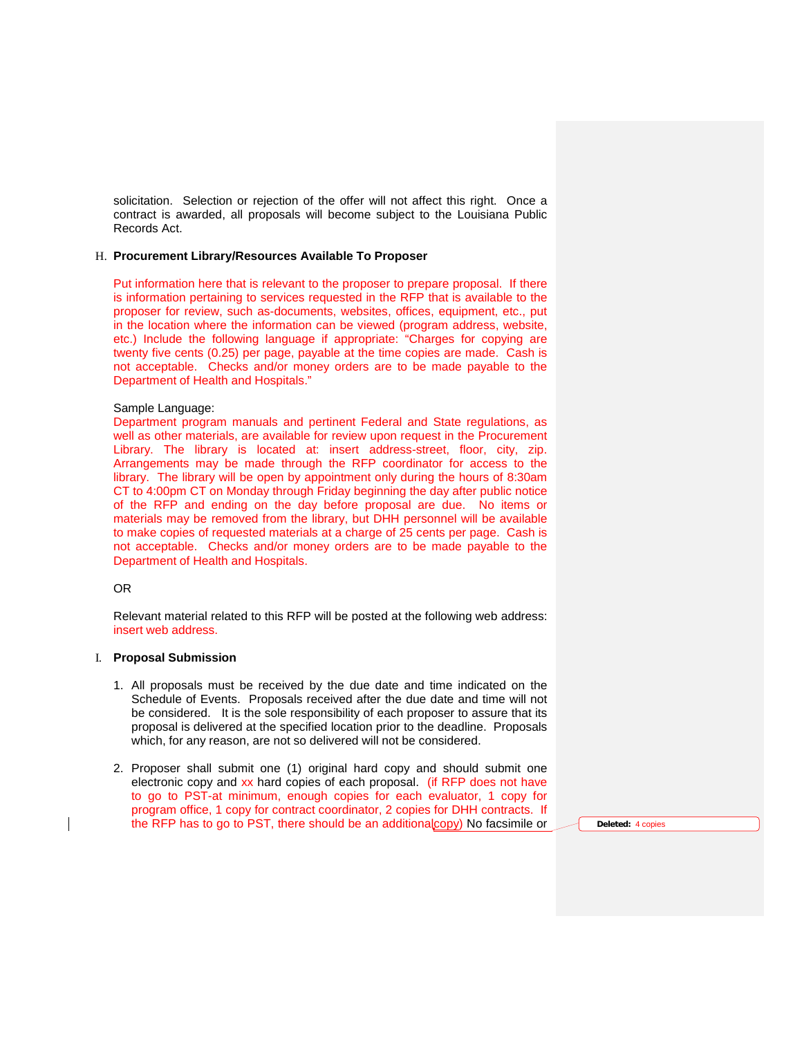solicitation. Selection or rejection of the offer will not affect this right. Once a contract is awarded, all proposals will become subject to the Louisiana Public Records Act.

### H. **Procurement Library/Resources Available To Proposer**

Put information here that is relevant to the proposer to prepare proposal. If there is information pertaining to services requested in the RFP that is available to the proposer for review, such as-documents, websites, offices, equipment, etc., put in the location where the information can be viewed (program address, website, etc.) Include the following language if appropriate: "Charges for copying are twenty five cents (0.25) per page, payable at the time copies are made. Cash is not acceptable. Checks and/or money orders are to be made payable to the Department of Health and Hospitals."

### Sample Language:

Department program manuals and pertinent Federal and State regulations, as well as other materials, are available for review upon request in the Procurement Library. The library is located at: insert address-street, floor, city, zip. Arrangements may be made through the RFP coordinator for access to the library. The library will be open by appointment only during the hours of 8:30am CT to 4:00pm CT on Monday through Friday beginning the day after public notice of the RFP and ending on the day before proposal are due. No items or materials may be removed from the library, but DHH personnel will be available to make copies of requested materials at a charge of 25 cents per page. Cash is not acceptable. Checks and/or money orders are to be made payable to the Department of Health and Hospitals.

### OR

Relevant material related to this RFP will be posted at the following web address: insert web address.

### I. **Proposal Submission**

- 1. All proposals must be received by the due date and time indicated on the Schedule of Events. Proposals received after the due date and time will not be considered. It is the sole responsibility of each proposer to assure that its proposal is delivered at the specified location prior to the deadline. Proposals which, for any reason, are not so delivered will not be considered.
- 2. Proposer shall submit one (1) original hard copy and should submit one electronic copy and xx hard copies of each proposal. (if RFP does not have to go to PST-at minimum, enough copies for each evaluator, 1 copy for program office, 1 copy for contract coordinator, 2 copies for DHH contracts. If the RFP has to go to PST, there should be an additionalcopy) No facsimile or **Deleted:** 4 copies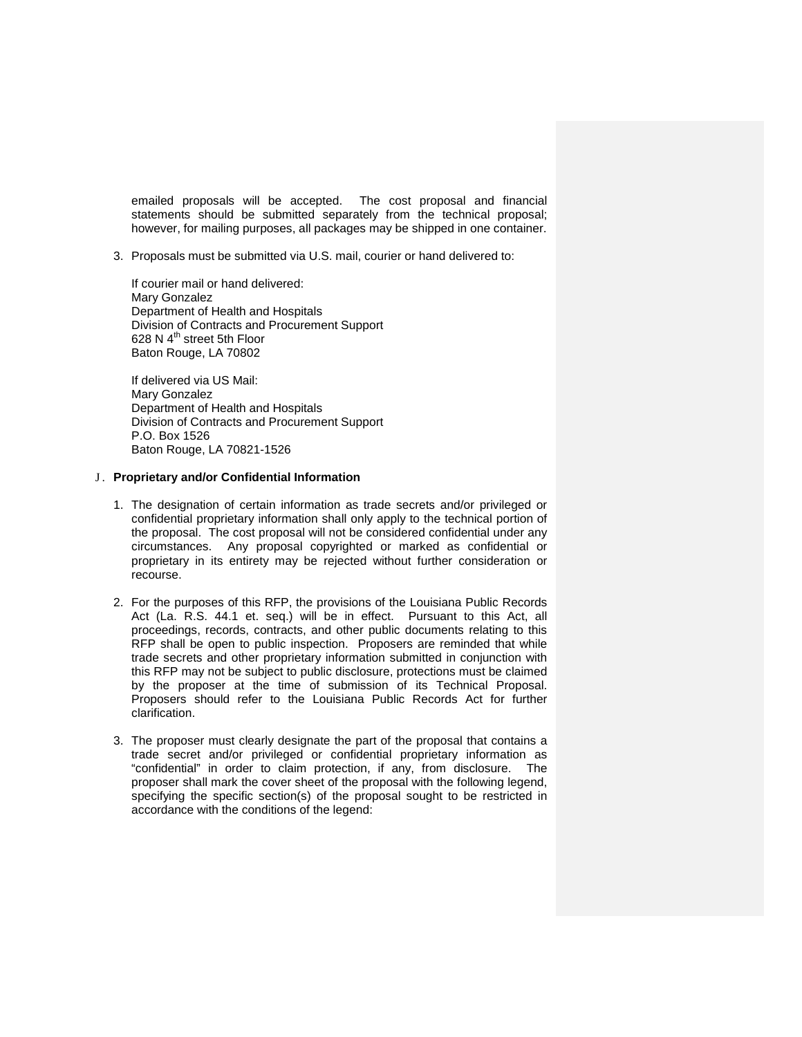emailed proposals will be accepted. The cost proposal and financial statements should be submitted separately from the technical proposal; however, for mailing purposes, all packages may be shipped in one container.

3. Proposals must be submitted via U.S. mail, courier or hand delivered to:

If courier mail or hand delivered: Mary Gonzalez Department of Health and Hospitals Division of Contracts and Procurement Support 628 N 4<sup>th</sup> street 5th Floor Baton Rouge, LA 70802

If delivered via US Mail: Mary Gonzalez Department of Health and Hospitals Division of Contracts and Procurement Support P.O. Box 1526 Baton Rouge, LA 70821-1526

### **J. Proprietary and/or Confidential Information**

- 1. The designation of certain information as trade secrets and/or privileged or confidential proprietary information shall only apply to the technical portion of the proposal. The cost proposal will not be considered confidential under any circumstances. Any proposal copyrighted or marked as confidential or proprietary in its entirety may be rejected without further consideration or recourse.
- 2. For the purposes of this RFP, the provisions of the Louisiana Public Records Act (La. R.S. 44.1 et. seq.) will be in effect. Pursuant to this Act, all proceedings, records, contracts, and other public documents relating to this RFP shall be open to public inspection. Proposers are reminded that while trade secrets and other proprietary information submitted in conjunction with this RFP may not be subject to public disclosure, protections must be claimed by the proposer at the time of submission of its Technical Proposal. Proposers should refer to the Louisiana Public Records Act for further clarification.
- 3. The proposer must clearly designate the part of the proposal that contains a trade secret and/or privileged or confidential proprietary information as "confidential" in order to claim protection, if any, from disclosure. The proposer shall mark the cover sheet of the proposal with the following legend, specifying the specific section(s) of the proposal sought to be restricted in accordance with the conditions of the legend: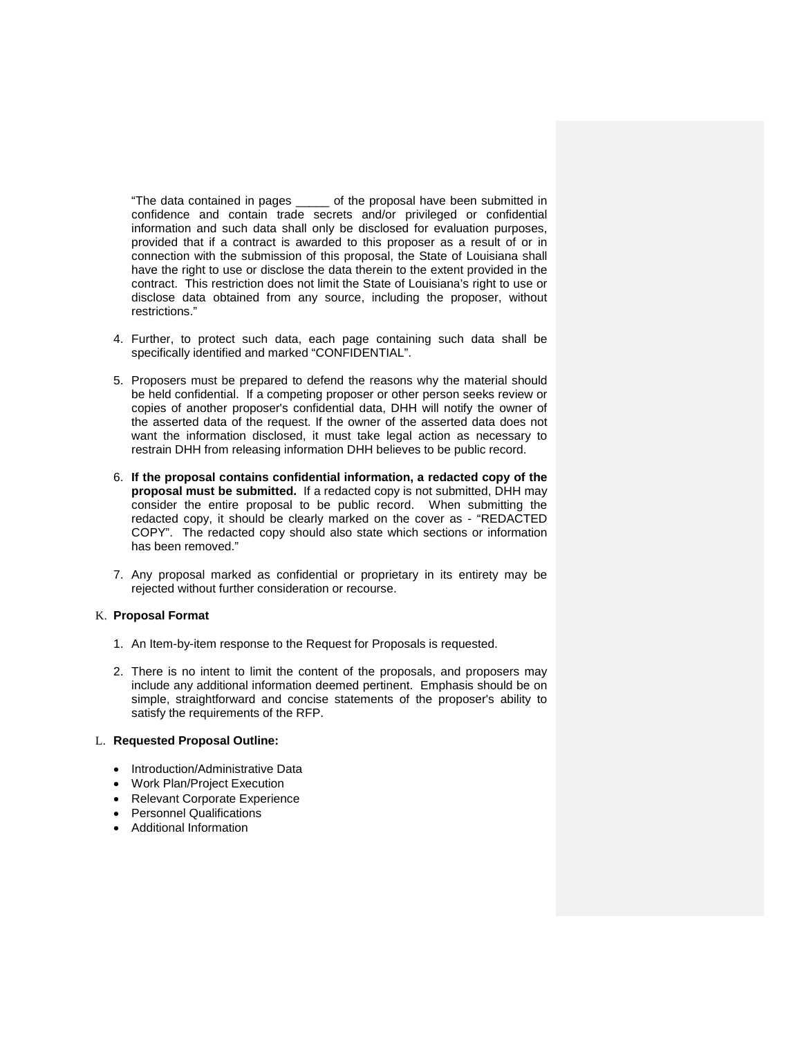"The data contained in pages \_\_\_\_\_ of the proposal have been submitted in confidence and contain trade secrets and/or privileged or confidential information and such data shall only be disclosed for evaluation purposes, provided that if a contract is awarded to this proposer as a result of or in connection with the submission of this proposal, the State of Louisiana shall have the right to use or disclose the data therein to the extent provided in the contract. This restriction does not limit the State of Louisiana's right to use or disclose data obtained from any source, including the proposer, without restrictions."

- 4. Further, to protect such data, each page containing such data shall be specifically identified and marked "CONFIDENTIAL".
- 5. Proposers must be prepared to defend the reasons why the material should be held confidential. If a competing proposer or other person seeks review or copies of another proposer's confidential data, DHH will notify the owner of the asserted data of the request. If the owner of the asserted data does not want the information disclosed, it must take legal action as necessary to restrain DHH from releasing information DHH believes to be public record.
- 6. **If the proposal contains confidential information, a redacted copy of the proposal must be submitted.** If a redacted copy is not submitted, DHH may consider the entire proposal to be public record. When submitting the redacted copy, it should be clearly marked on the cover as - "REDACTED COPY". The redacted copy should also state which sections or information has been removed."
- 7. Any proposal marked as confidential or proprietary in its entirety may be rejected without further consideration or recourse.

### K. **Proposal Format**

- 1. An Item-by-item response to the Request for Proposals is requested.
- 2. There is no intent to limit the content of the proposals, and proposers may include any additional information deemed pertinent. Emphasis should be on simple, straightforward and concise statements of the proposer's ability to satisfy the requirements of the RFP.

### L. **Requested Proposal Outline:**

- Introduction/Administrative Data
- Work Plan/Project Execution
- Relevant Corporate Experience
- Personnel Qualifications
- Additional Information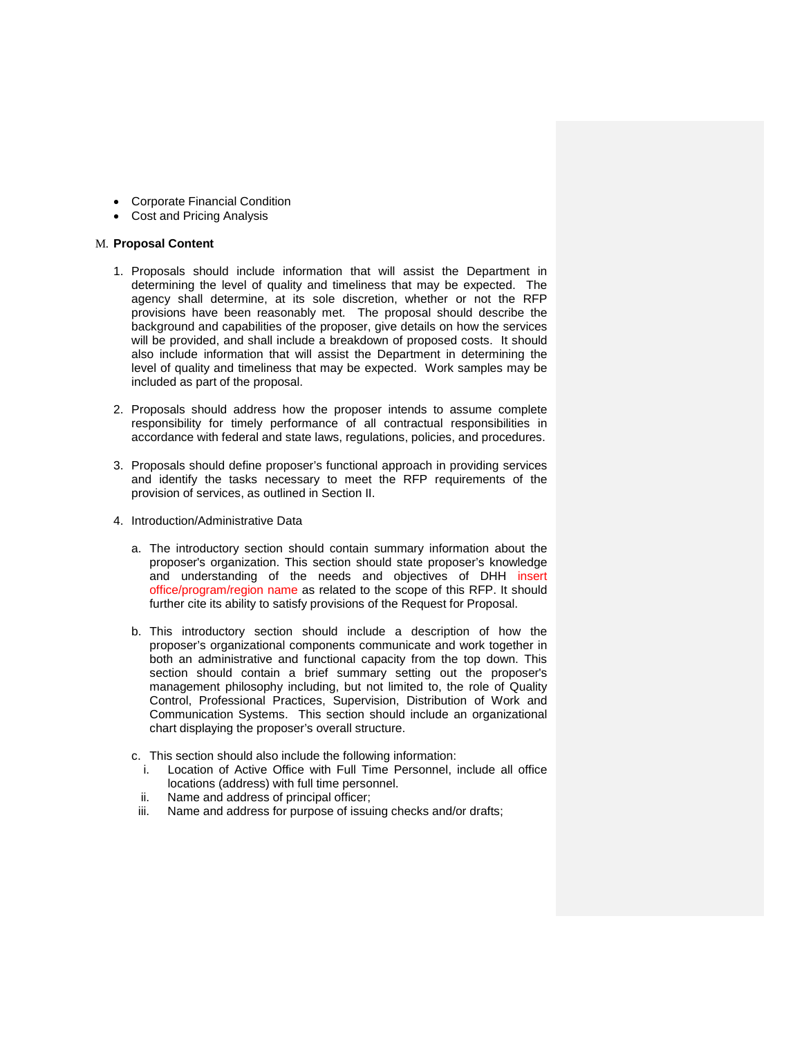- Corporate Financial Condition
- Cost and Pricing Analysis

### M. **Proposal Content**

- 1. Proposals should include information that will assist the Department in determining the level of quality and timeliness that may be expected. The agency shall determine, at its sole discretion, whether or not the RFP provisions have been reasonably met. The proposal should describe the background and capabilities of the proposer, give details on how the services will be provided, and shall include a breakdown of proposed costs. It should also include information that will assist the Department in determining the level of quality and timeliness that may be expected. Work samples may be included as part of the proposal.
- 2. Proposals should address how the proposer intends to assume complete responsibility for timely performance of all contractual responsibilities in accordance with federal and state laws, regulations, policies, and procedures.
- 3. Proposals should define proposer's functional approach in providing services and identify the tasks necessary to meet the RFP requirements of the provision of services, as outlined in Section II.
- 4. Introduction/Administrative Data
	- a. The introductory section should contain summary information about the proposer's organization. This section should state proposer's knowledge and understanding of the needs and objectives of DHH insert office/program/region name as related to the scope of this RFP. It should further cite its ability to satisfy provisions of the Request for Proposal.
	- b. This introductory section should include a description of how the proposer's organizational components communicate and work together in both an administrative and functional capacity from the top down. This section should contain a brief summary setting out the proposer's management philosophy including, but not limited to, the role of Quality Control, Professional Practices, Supervision, Distribution of Work and Communication Systems. This section should include an organizational chart displaying the proposer's overall structure.
	- c. This section should also include the following information:
		- i. Location of Active Office with Full Time Personnel, include all office locations (address) with full time personnel.
	- ii. Name and address of principal officer;
	- iii. Name and address for purpose of issuing checks and/or drafts;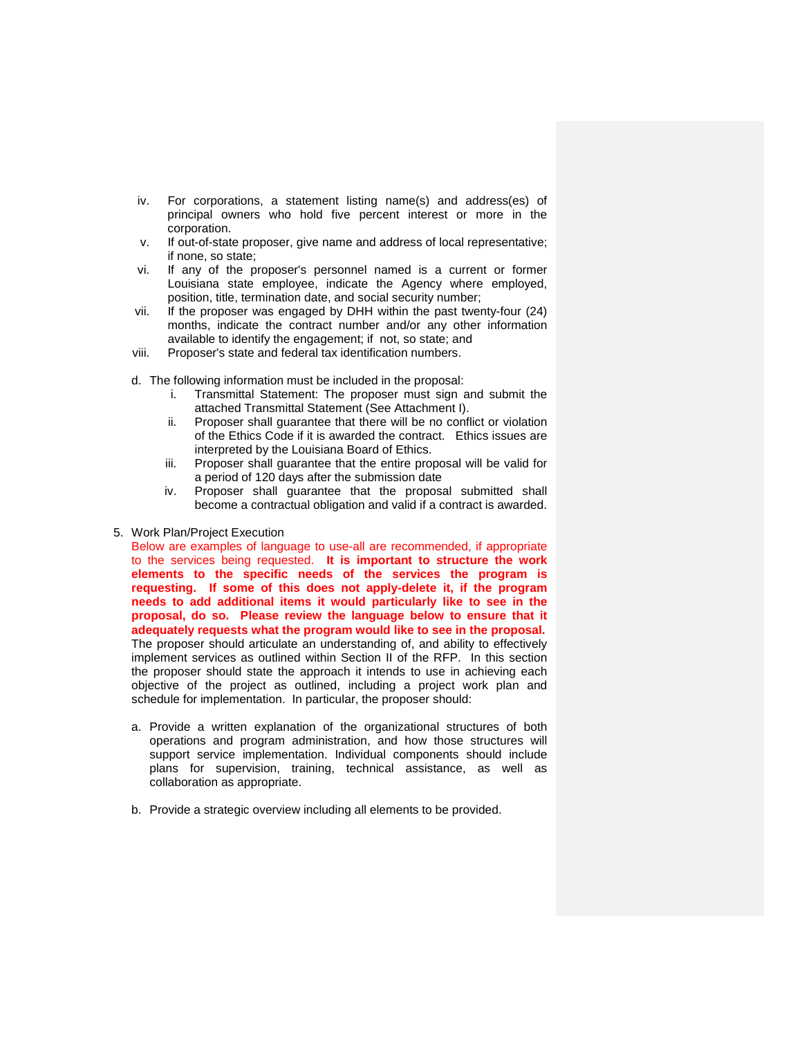- iv. For corporations, a statement listing name(s) and address(es) of principal owners who hold five percent interest or more in the corporation.
- v. If out-of-state proposer, give name and address of local representative; if none, so state;
- vi. If any of the proposer's personnel named is a current or former Louisiana state employee, indicate the Agency where employed, position, title, termination date, and social security number;
- vii. If the proposer was engaged by DHH within the past twenty-four (24) months, indicate the contract number and/or any other information available to identify the engagement; if not, so state; and
- viii. Proposer's state and federal tax identification numbers.
- d. The following information must be included in the proposal:
	- i. Transmittal Statement: The proposer must sign and submit the attached Transmittal Statement (See Attachment I).
	- ii. Proposer shall guarantee that there will be no conflict or violation of the Ethics Code if it is awarded the contract. Ethics issues are interpreted by the Louisiana Board of Ethics.
	- iii. Proposer shall guarantee that the entire proposal will be valid for a period of 120 days after the submission date
	- iv. Proposer shall guarantee that the proposal submitted shall become a contractual obligation and valid if a contract is awarded.

### 5. Work Plan/Project Execution

Below are examples of language to use-all are recommended, if appropriate to the services being requested. **It is important to structure the work elements to the specific needs of the services the program is requesting. If some of this does not apply-delete it, if the program needs to add additional items it would particularly like to see in the proposal, do so. Please review the language below to ensure that it adequately requests what the program would like to see in the proposal.**  The proposer should articulate an understanding of, and ability to effectively implement services as outlined within Section II of the RFP. In this section the proposer should state the approach it intends to use in achieving each objective of the project as outlined, including a project work plan and schedule for implementation. In particular, the proposer should:

- a. Provide a written explanation of the organizational structures of both operations and program administration, and how those structures will support service implementation. Individual components should include plans for supervision, training, technical assistance, as well as collaboration as appropriate.
- b. Provide a strategic overview including all elements to be provided.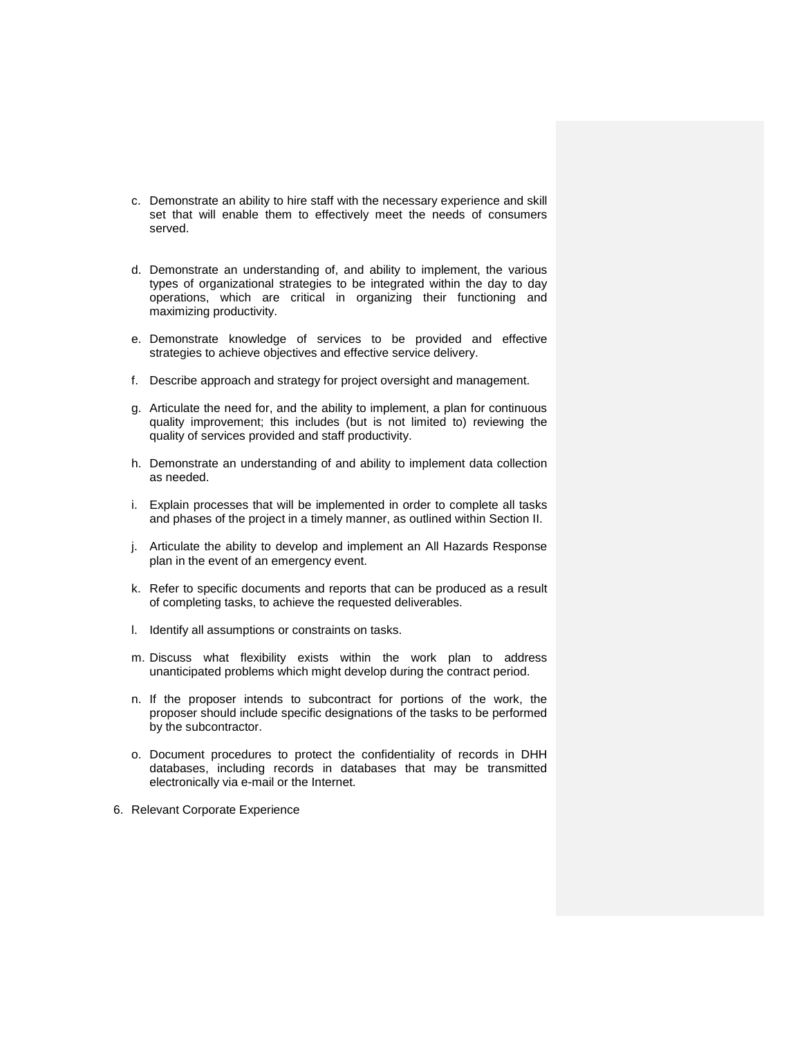- c. Demonstrate an ability to hire staff with the necessary experience and skill set that will enable them to effectively meet the needs of consumers served.
- d. Demonstrate an understanding of, and ability to implement, the various types of organizational strategies to be integrated within the day to day operations, which are critical in organizing their functioning and maximizing productivity.
- e. Demonstrate knowledge of services to be provided and effective strategies to achieve objectives and effective service delivery.
- f. Describe approach and strategy for project oversight and management.
- g. Articulate the need for, and the ability to implement, a plan for continuous quality improvement; this includes (but is not limited to) reviewing the quality of services provided and staff productivity.
- h. Demonstrate an understanding of and ability to implement data collection as needed.
- i. Explain processes that will be implemented in order to complete all tasks and phases of the project in a timely manner, as outlined within Section II.
- j. Articulate the ability to develop and implement an All Hazards Response plan in the event of an emergency event.
- k. Refer to specific documents and reports that can be produced as a result of completing tasks, to achieve the requested deliverables.
- l. Identify all assumptions or constraints on tasks.
- m. Discuss what flexibility exists within the work plan to address unanticipated problems which might develop during the contract period.
- n. If the proposer intends to subcontract for portions of the work, the proposer should include specific designations of the tasks to be performed by the subcontractor.
- o. Document procedures to protect the confidentiality of records in DHH databases, including records in databases that may be transmitted electronically via e-mail or the Internet.
- 6. Relevant Corporate Experience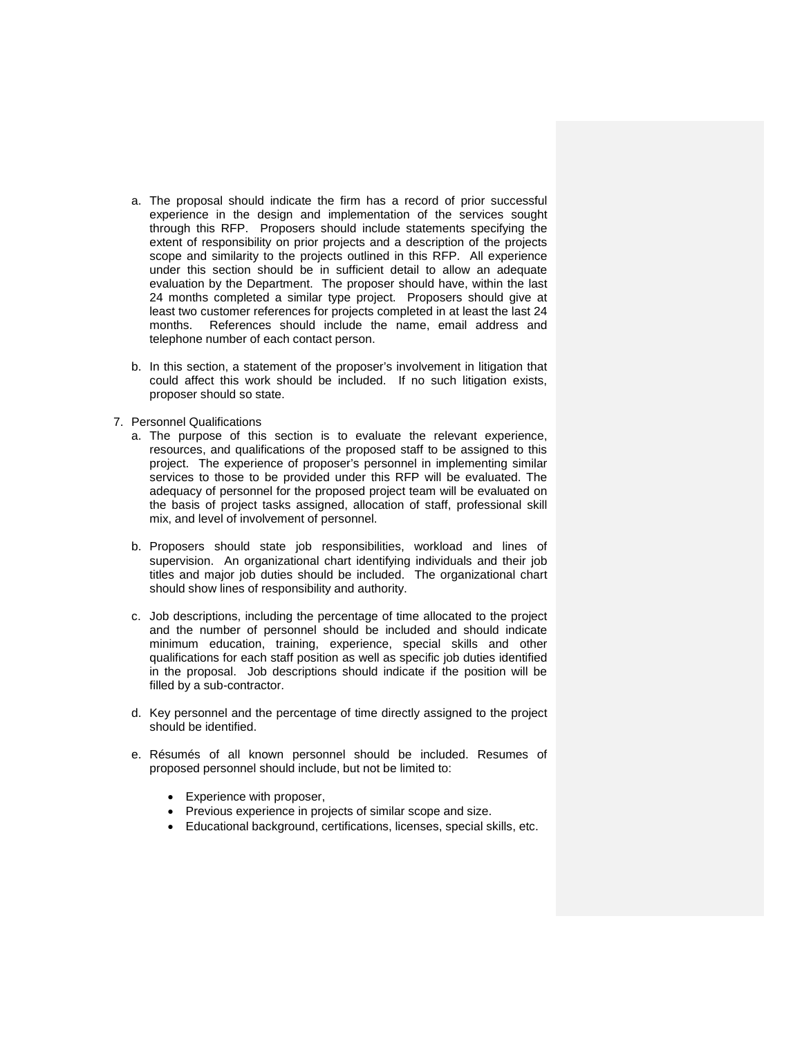- a. The proposal should indicate the firm has a record of prior successful experience in the design and implementation of the services sought through this RFP. Proposers should include statements specifying the extent of responsibility on prior projects and a description of the projects scope and similarity to the projects outlined in this RFP. All experience under this section should be in sufficient detail to allow an adequate evaluation by the Department. The proposer should have, within the last 24 months completed a similar type project. Proposers should give at least two customer references for projects completed in at least the last 24 months. References should include the name, email address and References should include the name, email address and telephone number of each contact person.
- b. In this section, a statement of the proposer's involvement in litigation that could affect this work should be included. If no such litigation exists, proposer should so state.
- 7. Personnel Qualifications
	- a. The purpose of this section is to evaluate the relevant experience, resources, and qualifications of the proposed staff to be assigned to this project. The experience of proposer's personnel in implementing similar services to those to be provided under this RFP will be evaluated. The adequacy of personnel for the proposed project team will be evaluated on the basis of project tasks assigned, allocation of staff, professional skill mix, and level of involvement of personnel.
	- b. Proposers should state job responsibilities, workload and lines of supervision. An organizational chart identifying individuals and their job titles and major job duties should be included. The organizational chart should show lines of responsibility and authority.
	- c. Job descriptions, including the percentage of time allocated to the project and the number of personnel should be included and should indicate minimum education, training, experience, special skills and other qualifications for each staff position as well as specific job duties identified in the proposal. Job descriptions should indicate if the position will be filled by a sub-contractor.
	- d. Key personnel and the percentage of time directly assigned to the project should be identified.
	- e. Résumés of all known personnel should be included. Resumes of proposed personnel should include, but not be limited to:
		- Experience with proposer,
		- Previous experience in projects of similar scope and size.
		- Educational background, certifications, licenses, special skills, etc.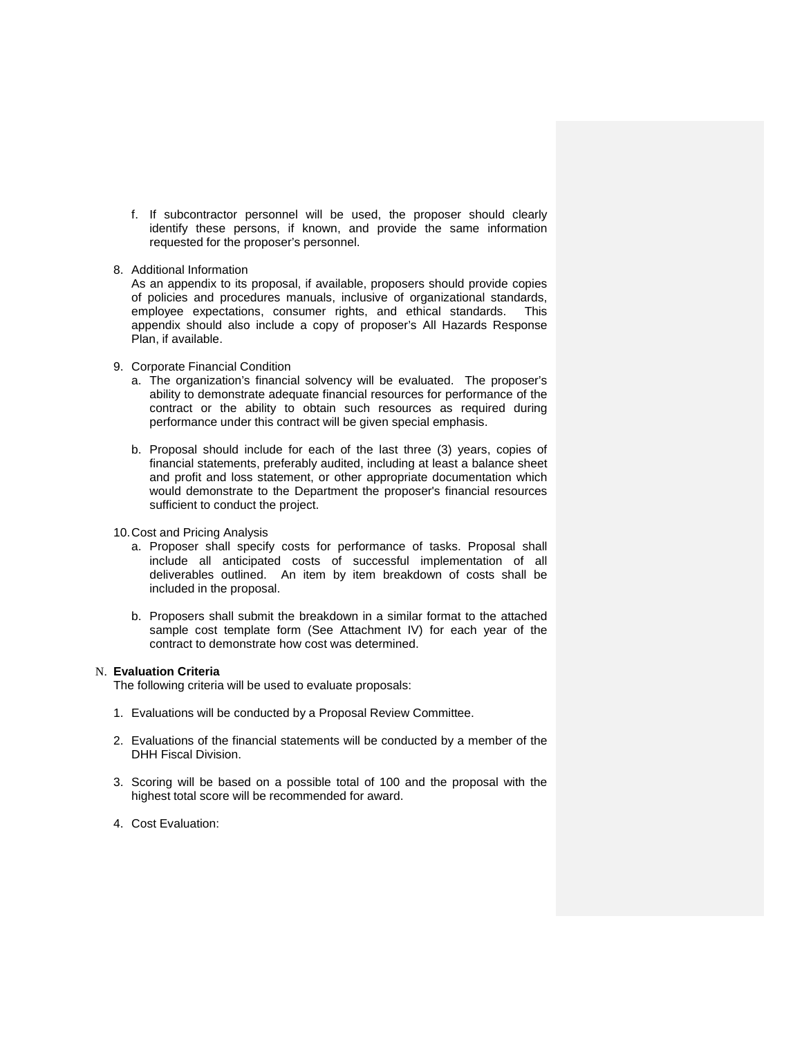f. If subcontractor personnel will be used, the proposer should clearly identify these persons, if known, and provide the same information requested for the proposer's personnel.

### 8. Additional Information

As an appendix to its proposal, if available, proposers should provide copies of policies and procedures manuals, inclusive of organizational standards, employee expectations, consumer rights, and ethical standards. This employee expectations, consumer rights, and ethical standards. appendix should also include a copy of proposer's All Hazards Response Plan, if available.

- 9. Corporate Financial Condition
	- a. The organization's financial solvency will be evaluated. The proposer's ability to demonstrate adequate financial resources for performance of the contract or the ability to obtain such resources as required during performance under this contract will be given special emphasis.
	- b. Proposal should include for each of the last three (3) years, copies of financial statements, preferably audited, including at least a balance sheet and profit and loss statement, or other appropriate documentation which would demonstrate to the Department the proposer's financial resources sufficient to conduct the project.
- 10.Cost and Pricing Analysis
	- a. Proposer shall specify costs for performance of tasks. Proposal shall include all anticipated costs of successful implementation of all deliverables outlined. An item by item breakdown of costs shall be included in the proposal.
	- b. Proposers shall submit the breakdown in a similar format to the attached sample cost template form (See Attachment IV) for each year of the contract to demonstrate how cost was determined.

# N. **Evaluation Criteria**

The following criteria will be used to evaluate proposals:

- 1. Evaluations will be conducted by a Proposal Review Committee.
- 2. Evaluations of the financial statements will be conducted by a member of the DHH Fiscal Division.
- 3. Scoring will be based on a possible total of 100 and the proposal with the highest total score will be recommended for award.
- 4. Cost Evaluation: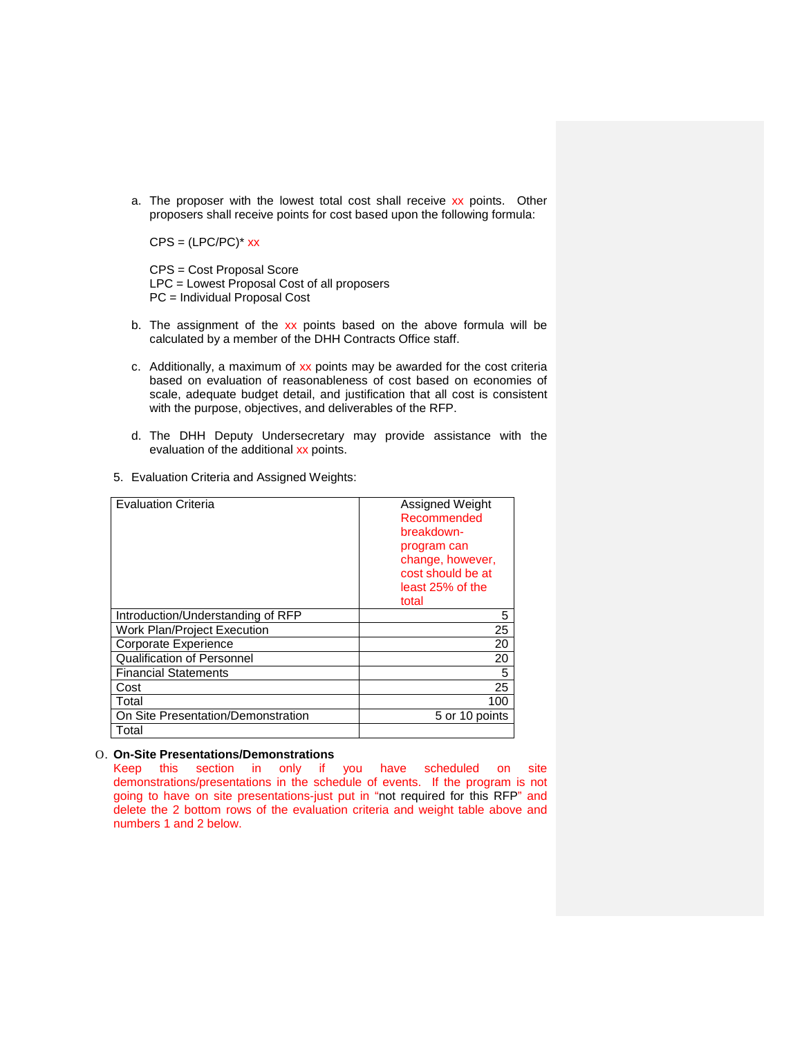a. The proposer with the lowest total cost shall receive xx points. Other proposers shall receive points for cost based upon the following formula:

 $CPS = (LPC/PC)^* xx$ 

CPS = Cost Proposal Score LPC = Lowest Proposal Cost of all proposers PC = Individual Proposal Cost

- b. The assignment of the xx points based on the above formula will be calculated by a member of the DHH Contracts Office staff.
- c. Additionally, a maximum of  $xx$  points may be awarded for the cost criteria based on evaluation of reasonableness of cost based on economies of scale, adequate budget detail, and justification that all cost is consistent with the purpose, objectives, and deliverables of the RFP.
- d. The DHH Deputy Undersecretary may provide assistance with the evaluation of the additional xx points.
- 5. Evaluation Criteria and Assigned Weights:

| <b>Evaluation Criteria</b>         | Assigned Weight<br>Recommended<br>breakdown-<br>program can<br>change, however,<br>cost should be at<br>least 25% of the<br>total |
|------------------------------------|-----------------------------------------------------------------------------------------------------------------------------------|
| Introduction/Understanding of RFP  | 5                                                                                                                                 |
| <b>Work Plan/Project Execution</b> | 25                                                                                                                                |
| Corporate Experience               | 20                                                                                                                                |
| <b>Qualification of Personnel</b>  | 20                                                                                                                                |
| <b>Financial Statements</b>        | 5                                                                                                                                 |
| Cost                               | 25                                                                                                                                |
| Total                              | 100                                                                                                                               |
| On Site Presentation/Demonstration | 5 or 10 points                                                                                                                    |
| Total                              |                                                                                                                                   |

# O. **On-Site Presentations/Demonstrations**

Keep this section in only if you have scheduled on site demonstrations/presentations in the schedule of events. If the program is not going to have on site presentations-just put in "not required for this RFP" and delete the 2 bottom rows of the evaluation criteria and weight table above and numbers 1 and 2 below.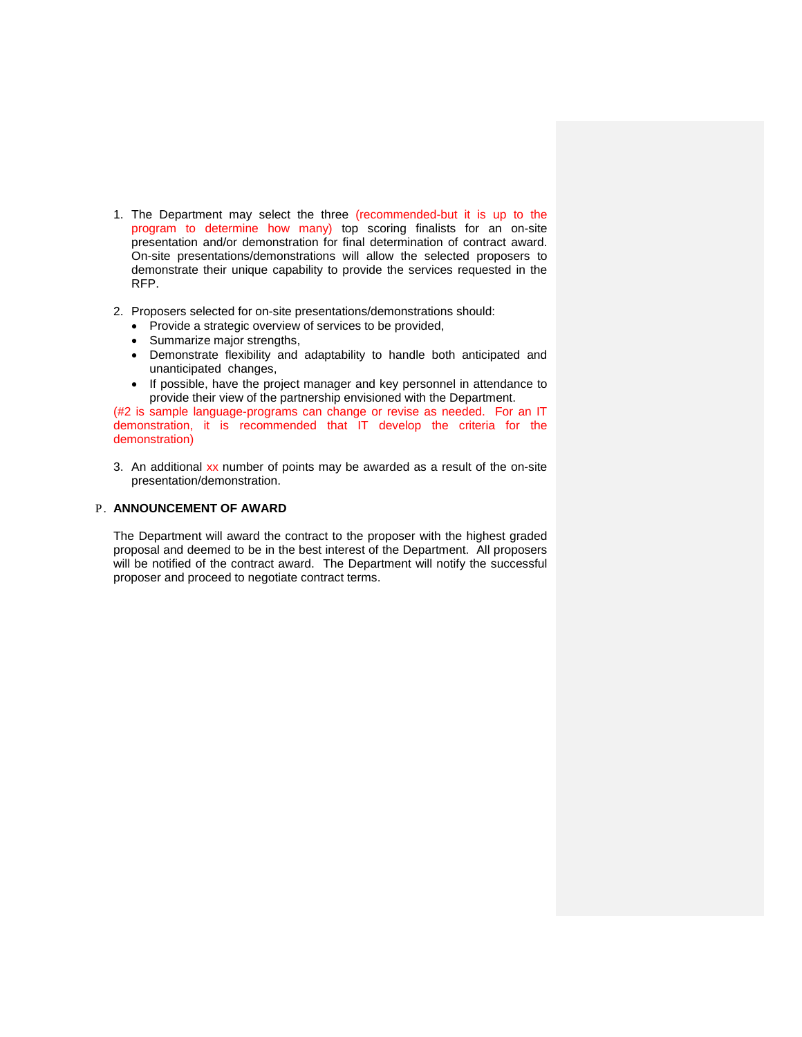- 1. The Department may select the three (recommended-but it is up to the program to determine how many) top scoring finalists for an on-site presentation and/or demonstration for final determination of contract award. On-site presentations/demonstrations will allow the selected proposers to demonstrate their unique capability to provide the services requested in the RFP.
- 2. Proposers selected for on-site presentations/demonstrations should:
	- Provide a strategic overview of services to be provided,
	- Summarize major strengths,
	- Demonstrate flexibility and adaptability to handle both anticipated and unanticipated changes,
	- If possible, have the project manager and key personnel in attendance to provide their view of the partnership envisioned with the Department.

(#2 is sample language-programs can change or revise as needed. For an IT demonstration, it is recommended that IT develop the criteria for the demonstration)

3. An additional xx number of points may be awarded as a result of the on-site presentation/demonstration.

### P. **ANNOUNCEMENT OF AWARD**

The Department will award the contract to the proposer with the highest graded proposal and deemed to be in the best interest of the Department. All proposers will be notified of the contract award. The Department will notify the successful proposer and proceed to negotiate contract terms.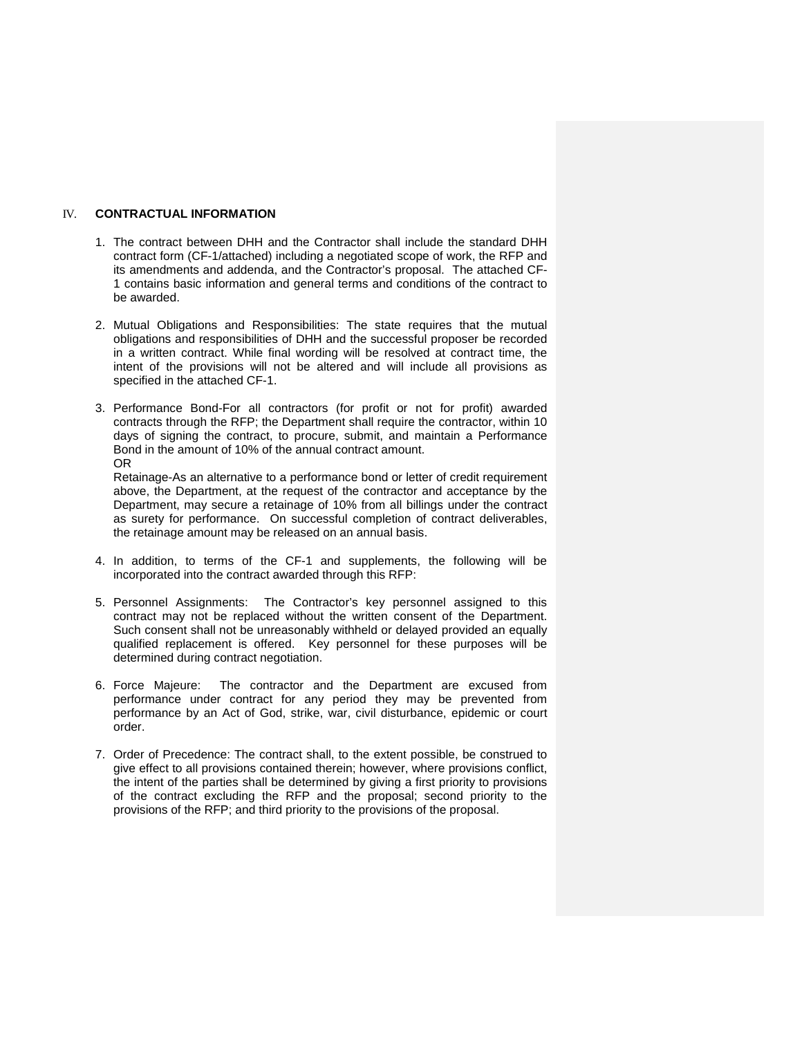### IV. **CONTRACTUAL INFORMATION**

- 1. The contract between DHH and the Contractor shall include the standard DHH contract form (CF-1/attached) including a negotiated scope of work, the RFP and its amendments and addenda, and the Contractor's proposal. The attached CF-1 contains basic information and general terms and conditions of the contract to be awarded.
- 2. Mutual Obligations and Responsibilities: The state requires that the mutual obligations and responsibilities of DHH and the successful proposer be recorded in a written contract. While final wording will be resolved at contract time, the intent of the provisions will not be altered and will include all provisions as specified in the attached CF-1.
- 3. Performance Bond-For all contractors (for profit or not for profit) awarded contracts through the RFP; the Department shall require the contractor, within 10 days of signing the contract, to procure, submit, and maintain a Performance Bond in the amount of 10% of the annual contract amount. OR

Retainage-As an alternative to a performance bond or letter of credit requirement above, the Department, at the request of the contractor and acceptance by the Department, may secure a retainage of 10% from all billings under the contract as surety for performance. On successful completion of contract deliverables, the retainage amount may be released on an annual basis.

- 4. In addition, to terms of the CF-1 and supplements, the following will be incorporated into the contract awarded through this RFP:
- 5. Personnel Assignments: The Contractor's key personnel assigned to this contract may not be replaced without the written consent of the Department. Such consent shall not be unreasonably withheld or delayed provided an equally qualified replacement is offered. Key personnel for these purposes will be determined during contract negotiation.
- 6. Force Majeure: The contractor and the Department are excused from performance under contract for any period they may be prevented from performance by an Act of God, strike, war, civil disturbance, epidemic or court order.
- 7. Order of Precedence: The contract shall, to the extent possible, be construed to give effect to all provisions contained therein; however, where provisions conflict, the intent of the parties shall be determined by giving a first priority to provisions of the contract excluding the RFP and the proposal; second priority to the provisions of the RFP; and third priority to the provisions of the proposal.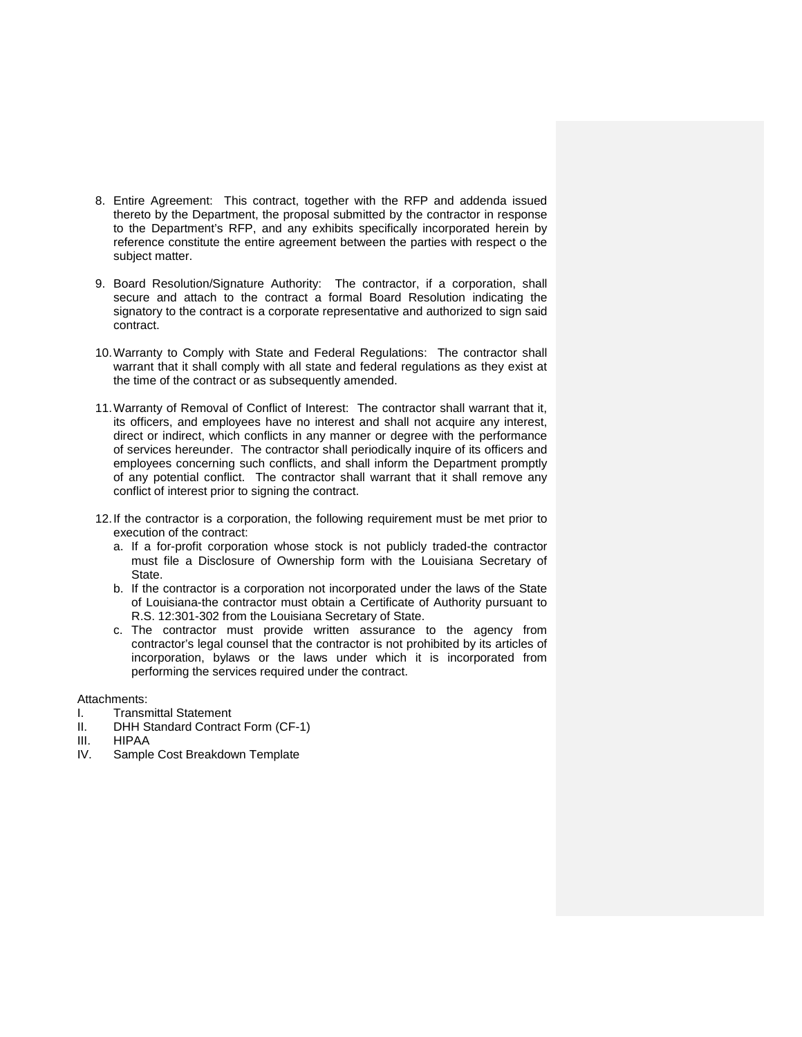- 8. Entire Agreement: This contract, together with the RFP and addenda issued thereto by the Department, the proposal submitted by the contractor in response to the Department's RFP, and any exhibits specifically incorporated herein by reference constitute the entire agreement between the parties with respect o the subject matter.
- 9. Board Resolution/Signature Authority: The contractor, if a corporation, shall secure and attach to the contract a formal Board Resolution indicating the signatory to the contract is a corporate representative and authorized to sign said contract.
- 10.Warranty to Comply with State and Federal Regulations: The contractor shall warrant that it shall comply with all state and federal regulations as they exist at the time of the contract or as subsequently amended.
- 11.Warranty of Removal of Conflict of Interest: The contractor shall warrant that it, its officers, and employees have no interest and shall not acquire any interest, direct or indirect, which conflicts in any manner or degree with the performance of services hereunder. The contractor shall periodically inquire of its officers and employees concerning such conflicts, and shall inform the Department promptly of any potential conflict. The contractor shall warrant that it shall remove any conflict of interest prior to signing the contract.
- 12.If the contractor is a corporation, the following requirement must be met prior to execution of the contract:
	- a. If a for-profit corporation whose stock is not publicly traded-the contractor must file a Disclosure of Ownership form with the Louisiana Secretary of State.
	- b. If the contractor is a corporation not incorporated under the laws of the State of Louisiana-the contractor must obtain a Certificate of Authority pursuant to R.S. 12:301-302 from the Louisiana Secretary of State.
	- c. The contractor must provide written assurance to the agency from contractor's legal counsel that the contractor is not prohibited by its articles of incorporation, bylaws or the laws under which it is incorporated from performing the services required under the contract.

Attachments:<br>I. Transn

- **I.** Transmittal Statement<br>**II.** DHH Standard Contrac
- II. DHH Standard Contract Form (CF-1)<br>III. HIPAA
- III. HIPAA<br>IV. Sample
- Sample Cost Breakdown Template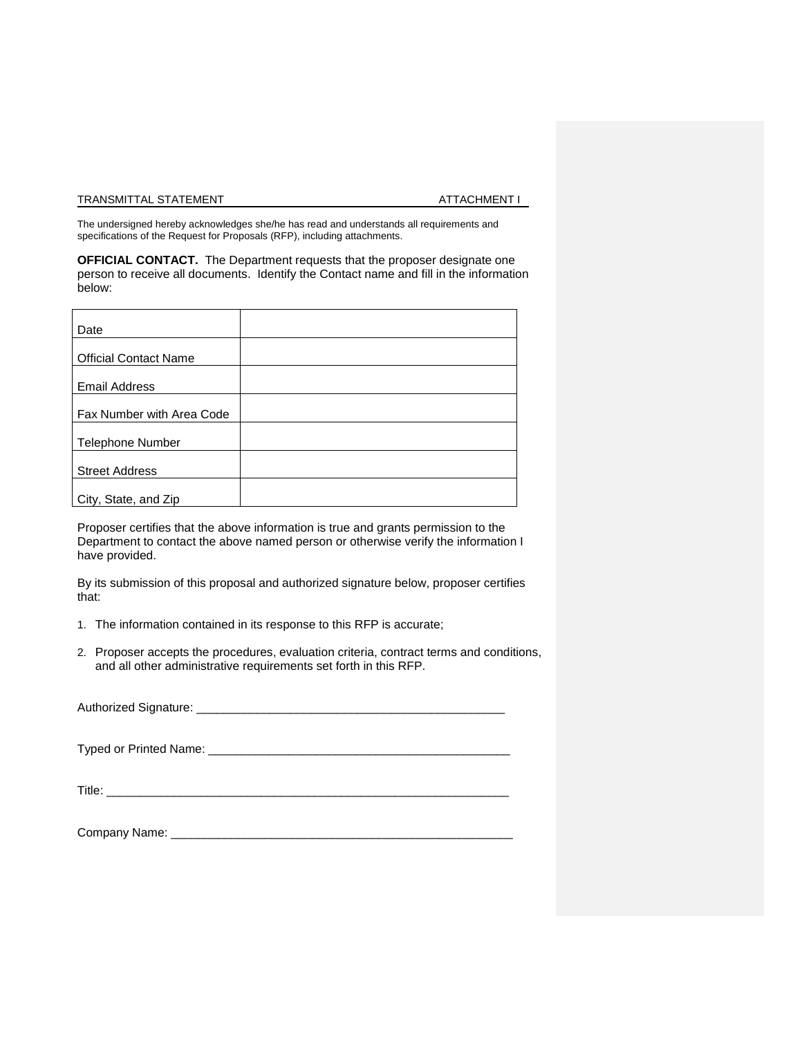The undersigned hereby acknowledges she/he has read and understands all requirements and specifications of the Request for Proposals (RFP), including attachments.

**OFFICIAL CONTACT.** The Department requests that the proposer designate one person to receive all documents. Identify the Contact name and fill in the information below:

| Date                         |  |
|------------------------------|--|
|                              |  |
| <b>Official Contact Name</b> |  |
| <b>Email Address</b>         |  |
|                              |  |
| Fax Number with Area Code    |  |
|                              |  |
| <b>Telephone Number</b>      |  |
|                              |  |
| <b>Street Address</b>        |  |
|                              |  |
| City, State, and Zip         |  |

Proposer certifies that the above information is true and grants permission to the Department to contact the above named person or otherwise verify the information I have provided.

By its submission of this proposal and authorized signature below, proposer certifies that:

- 1. The information contained in its response to this RFP is accurate;
- 2. Proposer accepts the procedures, evaluation criteria, contract terms and conditions, and all other administrative requirements set forth in this RFP.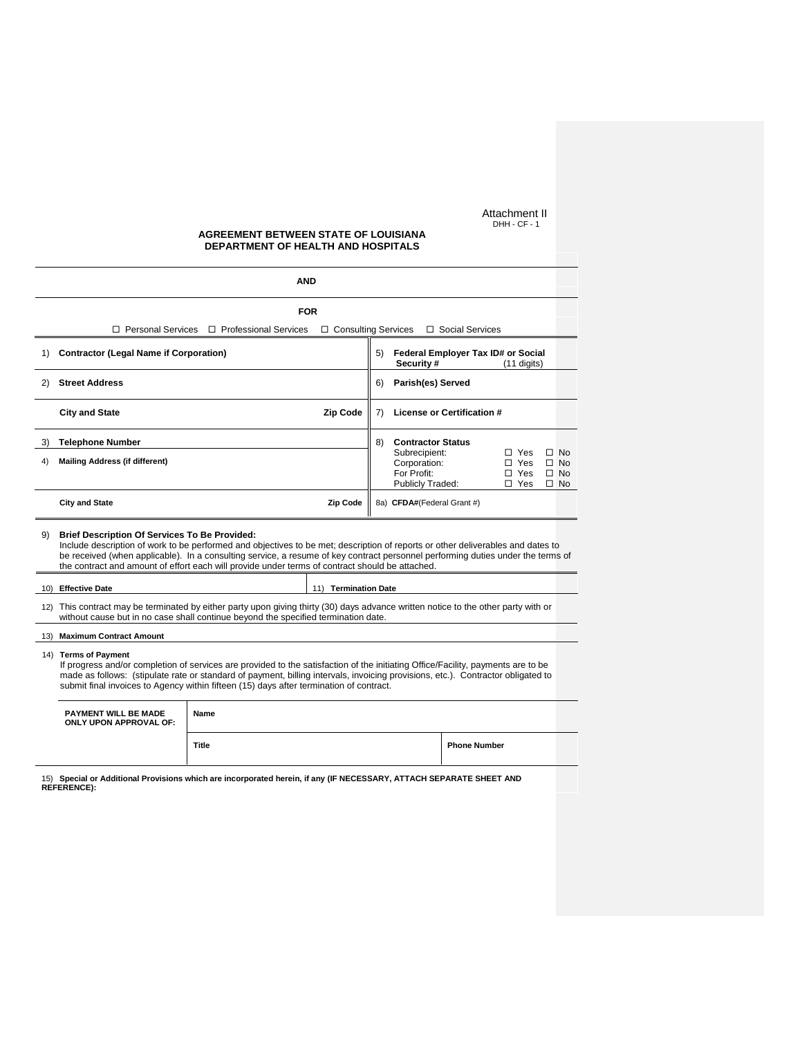Attachment II DHH - CF - 1

### **AGREEMENT BETWEEN STATE OF LOUISIANA DEPARTMENT OF HEALTH AND HOSPITALS**

|                                                                                                                                                                                                                                                                                                                                                                                                                                     | <b>AND</b>                                    |                       |    |                                                                  |                                                      |  |                                                     |
|-------------------------------------------------------------------------------------------------------------------------------------------------------------------------------------------------------------------------------------------------------------------------------------------------------------------------------------------------------------------------------------------------------------------------------------|-----------------------------------------------|-----------------------|----|------------------------------------------------------------------|------------------------------------------------------|--|-----------------------------------------------------|
|                                                                                                                                                                                                                                                                                                                                                                                                                                     | <b>FOR</b>                                    |                       |    |                                                                  |                                                      |  |                                                     |
|                                                                                                                                                                                                                                                                                                                                                                                                                                     | □ Personal Services □ Professional Services   | □ Consulting Services |    | □ Social Services                                                |                                                      |  |                                                     |
| 1)                                                                                                                                                                                                                                                                                                                                                                                                                                  | <b>Contractor (Legal Name if Corporation)</b> |                       | 5) | Federal Employer Tax ID# or Social<br>Security#                  | $(11$ digits)                                        |  |                                                     |
| 2)                                                                                                                                                                                                                                                                                                                                                                                                                                  | <b>Street Address</b>                         |                       | 6) | Parish(es) Served                                                |                                                      |  |                                                     |
|                                                                                                                                                                                                                                                                                                                                                                                                                                     | <b>City and State</b>                         | <b>Zip Code</b>       | 7) | <b>License or Certification #</b>                                |                                                      |  |                                                     |
| 3)                                                                                                                                                                                                                                                                                                                                                                                                                                  | <b>Telephone Number</b>                       |                       | 8) | <b>Contractor Status</b>                                         |                                                      |  |                                                     |
| 4)                                                                                                                                                                                                                                                                                                                                                                                                                                  | <b>Mailing Address (if different)</b>         |                       |    | Subrecipient:<br>Corporation:<br>For Profit:<br>Publicly Traded: | $\Box$ Yes<br>$\Box$ Yes<br>$\Box$ Yes<br>$\Box$ Yes |  | $\Box$ No<br>$\Box$ No<br>$\Box$ No<br>$\square$ No |
|                                                                                                                                                                                                                                                                                                                                                                                                                                     | <b>City and State</b>                         | Zip Code              |    | 8a) CFDA#(Federal Grant #)                                       |                                                      |  |                                                     |
| <b>Brief Description Of Services To Be Provided:</b><br>9)<br>Include description of work to be performed and objectives to be met; description of reports or other deliverables and dates to<br>be received (when applicable). In a consulting service, a resume of key contract personnel performing duties under the terms of<br>the contract and amount of effort each will provide under terms of contract should be attached. |                                               |                       |    |                                                                  |                                                      |  |                                                     |
|                                                                                                                                                                                                                                                                                                                                                                                                                                     | 10) Effective Date<br>11) Termination Date    |                       |    |                                                                  |                                                      |  |                                                     |
| 12) This contract may be terminated by either party upon giving thirty (30) days advance written notice to the other party with or<br>without cause but in no case shall continue beyond the specified termination date.                                                                                                                                                                                                            |                                               |                       |    |                                                                  |                                                      |  |                                                     |
|                                                                                                                                                                                                                                                                                                                                                                                                                                     | <b>Maximum Contract Amount</b><br>(13)        |                       |    |                                                                  |                                                      |  |                                                     |
| 14) Terms of Payment<br>If progress and/or completion of services are provided to the satisfaction of the initiating Office/Facility, payments are to be<br>made as follows: (stipulate rate or standard of payment, billing intervals, invoicing provisions, etc.). Contractor obligated to<br>submit final invoices to Agency within fifteen (15) days after termination of contract.                                             |                                               |                       |    |                                                                  |                                                      |  |                                                     |

| <b>PAYMENT WILL BE MADE</b><br>ONLY UPON APPROVAL OF: | Name  |                     |  |  |
|-------------------------------------------------------|-------|---------------------|--|--|
|                                                       | Title | <b>Phone Number</b> |  |  |

15) **Special or Additional Provisions which are incorporated herein, if any (IF NECESSARY, ATTACH SEPARATE SHEET AND REFERENCE):**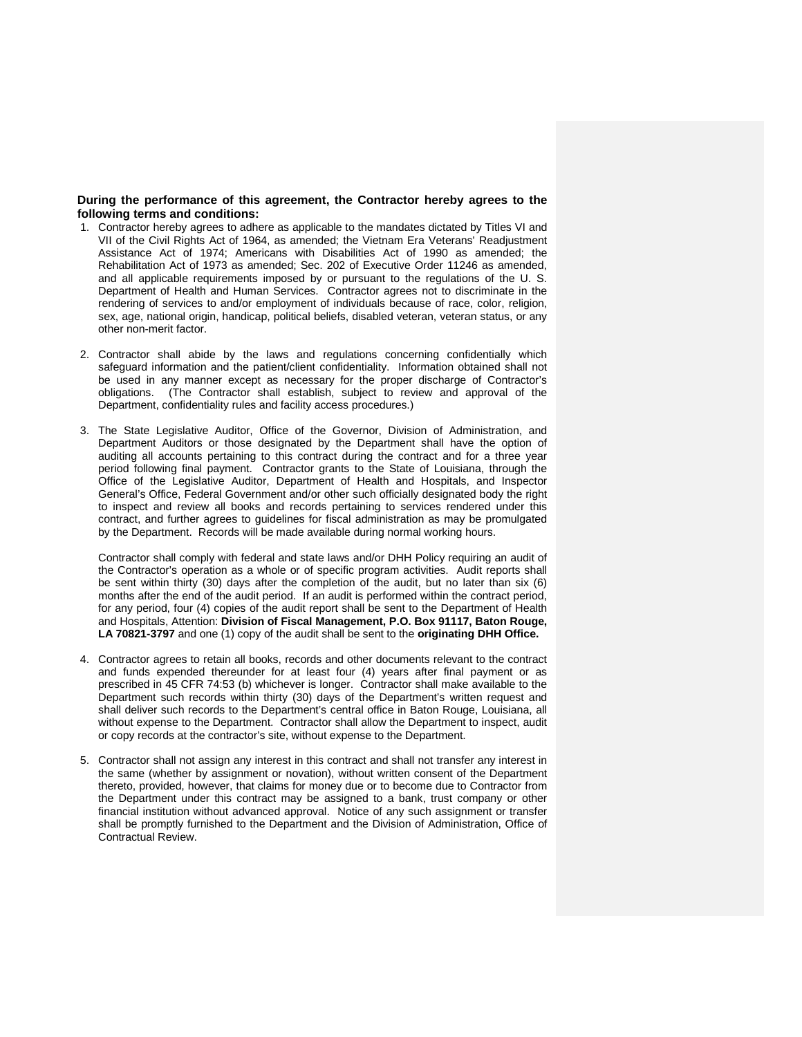### **During the performance of this agreement, the Contractor hereby agrees to the following terms and conditions:**

- 1. Contractor hereby agrees to adhere as applicable to the mandates dictated by Titles VI and VII of the Civil Rights Act of 1964, as amended; the Vietnam Era Veterans' Readjustment Assistance Act of 1974; Americans with Disabilities Act of 1990 as amended; the Rehabilitation Act of 1973 as amended; Sec. 202 of Executive Order 11246 as amended, and all applicable requirements imposed by or pursuant to the regulations of the U. S. Department of Health and Human Services. Contractor agrees not to discriminate in the rendering of services to and/or employment of individuals because of race, color, religion, sex, age, national origin, handicap, political beliefs, disabled veteran, veteran status, or any other non-merit factor.
- 2. Contractor shall abide by the laws and regulations concerning confidentially which safeguard information and the patient/client confidentiality. Information obtained shall not be used in any manner except as necessary for the proper discharge of Contractor's obligations. (The Contractor shall establish, subject to review and approval of the Department, confidentiality rules and facility access procedures.)
- 3. The State Legislative Auditor, Office of the Governor, Division of Administration, and Department Auditors or those designated by the Department shall have the option of auditing all accounts pertaining to this contract during the contract and for a three year period following final payment. Contractor grants to the State of Louisiana, through the Office of the Legislative Auditor, Department of Health and Hospitals, and Inspector General's Office, Federal Government and/or other such officially designated body the right to inspect and review all books and records pertaining to services rendered under this contract, and further agrees to guidelines for fiscal administration as may be promulgated by the Department. Records will be made available during normal working hours.

Contractor shall comply with federal and state laws and/or DHH Policy requiring an audit of the Contractor's operation as a whole or of specific program activities. Audit reports shall be sent within thirty (30) days after the completion of the audit, but no later than six (6) months after the end of the audit period. If an audit is performed within the contract period, for any period, four (4) copies of the audit report shall be sent to the Department of Health and Hospitals, Attention: **Division of Fiscal Management, P.O. Box 91117, Baton Rouge, LA 70821-3797** and one (1) copy of the audit shall be sent to the **originating DHH Office.**

- 4. Contractor agrees to retain all books, records and other documents relevant to the contract and funds expended thereunder for at least four (4) years after final payment or as prescribed in 45 CFR 74:53 (b) whichever is longer. Contractor shall make available to the Department such records within thirty (30) days of the Department's written request and shall deliver such records to the Department's central office in Baton Rouge, Louisiana, all without expense to the Department. Contractor shall allow the Department to inspect, audit or copy records at the contractor's site, without expense to the Department.
- 5. Contractor shall not assign any interest in this contract and shall not transfer any interest in the same (whether by assignment or novation), without written consent of the Department thereto, provided, however, that claims for money due or to become due to Contractor from the Department under this contract may be assigned to a bank, trust company or other financial institution without advanced approval. Notice of any such assignment or transfer shall be promptly furnished to the Department and the Division of Administration, Office of Contractual Review.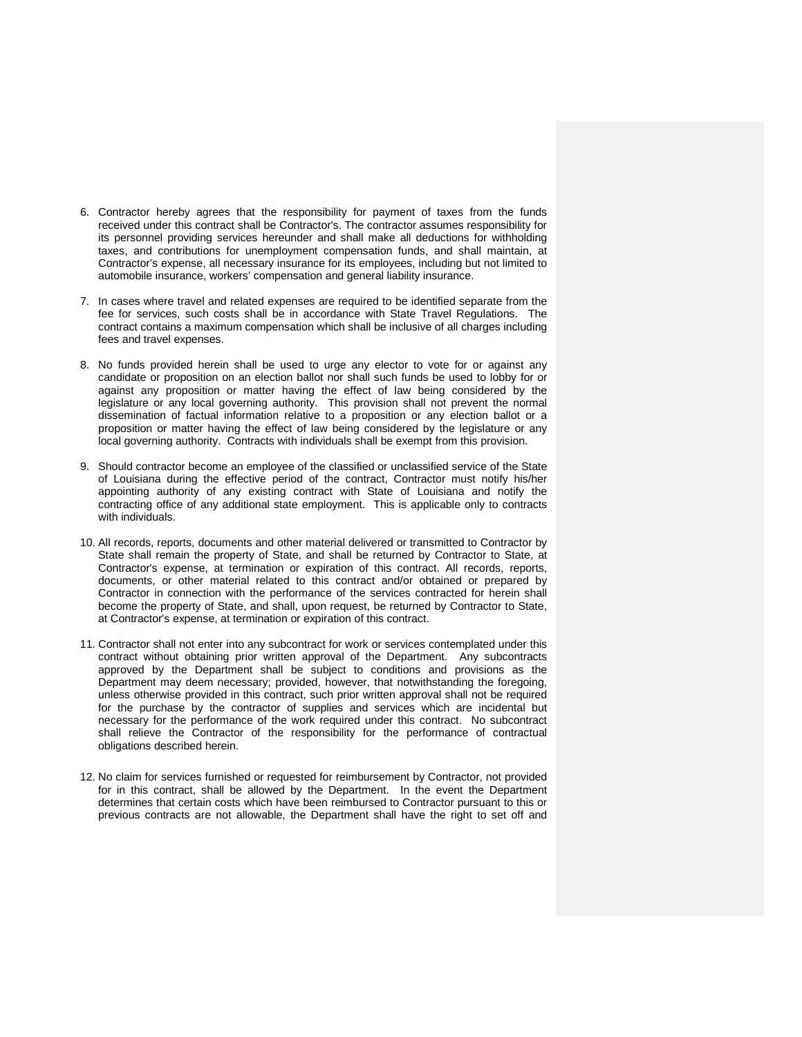- 6. Contractor hereby agrees that the responsibility for payment of taxes from the funds received under this contract shall be Contractor's. The contractor assumes responsibility for its personnel providing services hereunder and shall make all deductions for withholding taxes, and contributions for unemployment compensation funds, and shall maintain, at Contractor's expense, all necessary insurance for its employees, including but not limited to automobile insurance, workers' compensation and general liability insurance.
- 7. In cases where travel and related expenses are required to be identified separate from the fee for services, such costs shall be in accordance with State Travel Regulations. The contract contains a maximum compensation which shall be inclusive of all charges including fees and travel expenses.
- 8. No funds provided herein shall be used to urge any elector to vote for or against any candidate or proposition on an election ballot nor shall such funds be used to lobby for or against any proposition or matter having the effect of law being considered by the legislature or any local governing authority. This provision shall not prevent the normal dissemination of factual information relative to a proposition or any election ballot or a proposition or matter having the effect of law being considered by the legislature or any local governing authority. Contracts with individuals shall be exempt from this provision.
- 9. Should contractor become an employee of the classified or unclassified service of the State of Louisiana during the effective period of the contract, Contractor must notify his/her appointing authority of any existing contract with State of Louisiana and notify the contracting office of any additional state employment. This is applicable only to contracts with individuals.
- 10. All records, reports, documents and other material delivered or transmitted to Contractor by State shall remain the property of State, and shall be returned by Contractor to State, at Contractor's expense, at termination or expiration of this contract. All records, reports, documents, or other material related to this contract and/or obtained or prepared by Contractor in connection with the performance of the services contracted for herein shall become the property of State, and shall, upon request, be returned by Contractor to State, at Contractor's expense, at termination or expiration of this contract.
- 11. Contractor shall not enter into any subcontract for work or services contemplated under this contract without obtaining prior written approval of the Department. Any subcontracts approved by the Department shall be subject to conditions and provisions as the Department may deem necessary; provided, however, that notwithstanding the foregoing, unless otherwise provided in this contract, such prior written approval shall not be required for the purchase by the contractor of supplies and services which are incidental but necessary for the performance of the work required under this contract. No subcontract shall relieve the Contractor of the responsibility for the performance of contractual obligations described herein.
- 12. No claim for services furnished or requested for reimbursement by Contractor, not provided for in this contract, shall be allowed by the Department. In the event the Department determines that certain costs which have been reimbursed to Contractor pursuant to this or previous contracts are not allowable, the Department shall have the right to set off and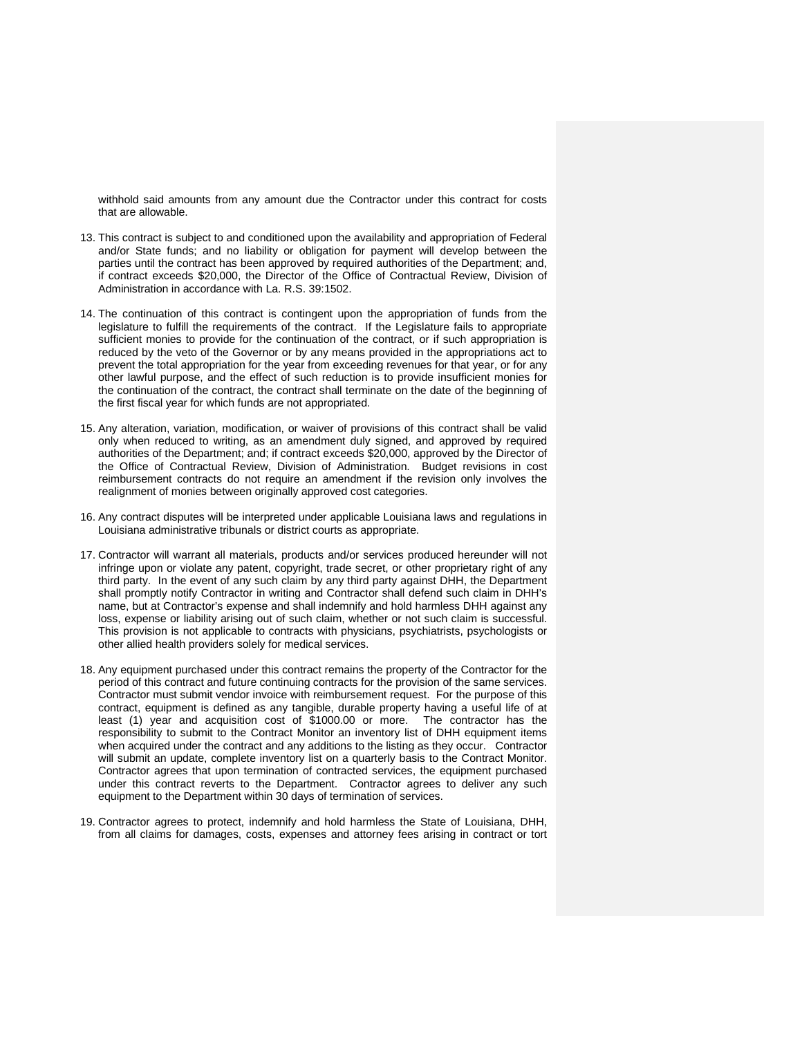withhold said amounts from any amount due the Contractor under this contract for costs that are allowable.

- 13. This contract is subject to and conditioned upon the availability and appropriation of Federal and/or State funds; and no liability or obligation for payment will develop between the parties until the contract has been approved by required authorities of the Department; and, if contract exceeds \$20,000, the Director of the Office of Contractual Review, Division of Administration in accordance with La. R.S. 39:1502.
- 14. The continuation of this contract is contingent upon the appropriation of funds from the legislature to fulfill the requirements of the contract. If the Legislature fails to appropriate sufficient monies to provide for the continuation of the contract, or if such appropriation is reduced by the veto of the Governor or by any means provided in the appropriations act to prevent the total appropriation for the year from exceeding revenues for that year, or for any other lawful purpose, and the effect of such reduction is to provide insufficient monies for the continuation of the contract, the contract shall terminate on the date of the beginning of the first fiscal year for which funds are not appropriated.
- 15. Any alteration, variation, modification, or waiver of provisions of this contract shall be valid only when reduced to writing, as an amendment duly signed, and approved by required authorities of the Department; and; if contract exceeds \$20,000, approved by the Director of the Office of Contractual Review, Division of Administration. Budget revisions in cost reimbursement contracts do not require an amendment if the revision only involves the realignment of monies between originally approved cost categories.
- 16. Any contract disputes will be interpreted under applicable Louisiana laws and regulations in Louisiana administrative tribunals or district courts as appropriate.
- 17. Contractor will warrant all materials, products and/or services produced hereunder will not infringe upon or violate any patent, copyright, trade secret, or other proprietary right of any third party. In the event of any such claim by any third party against DHH, the Department shall promptly notify Contractor in writing and Contractor shall defend such claim in DHH's name, but at Contractor's expense and shall indemnify and hold harmless DHH against any loss, expense or liability arising out of such claim, whether or not such claim is successful. This provision is not applicable to contracts with physicians, psychiatrists, psychologists or other allied health providers solely for medical services.
- 18. Any equipment purchased under this contract remains the property of the Contractor for the period of this contract and future continuing contracts for the provision of the same services. Contractor must submit vendor invoice with reimbursement request. For the purpose of this contract, equipment is defined as any tangible, durable property having a useful life of at least (1) year and acquisition cost of \$1000.00 or more. The contractor has the responsibility to submit to the Contract Monitor an inventory list of DHH equipment items when acquired under the contract and any additions to the listing as they occur. Contractor will submit an update, complete inventory list on a quarterly basis to the Contract Monitor. Contractor agrees that upon termination of contracted services, the equipment purchased under this contract reverts to the Department. Contractor agrees to deliver any such equipment to the Department within 30 days of termination of services.
- 19. Contractor agrees to protect, indemnify and hold harmless the State of Louisiana, DHH, from all claims for damages, costs, expenses and attorney fees arising in contract or tort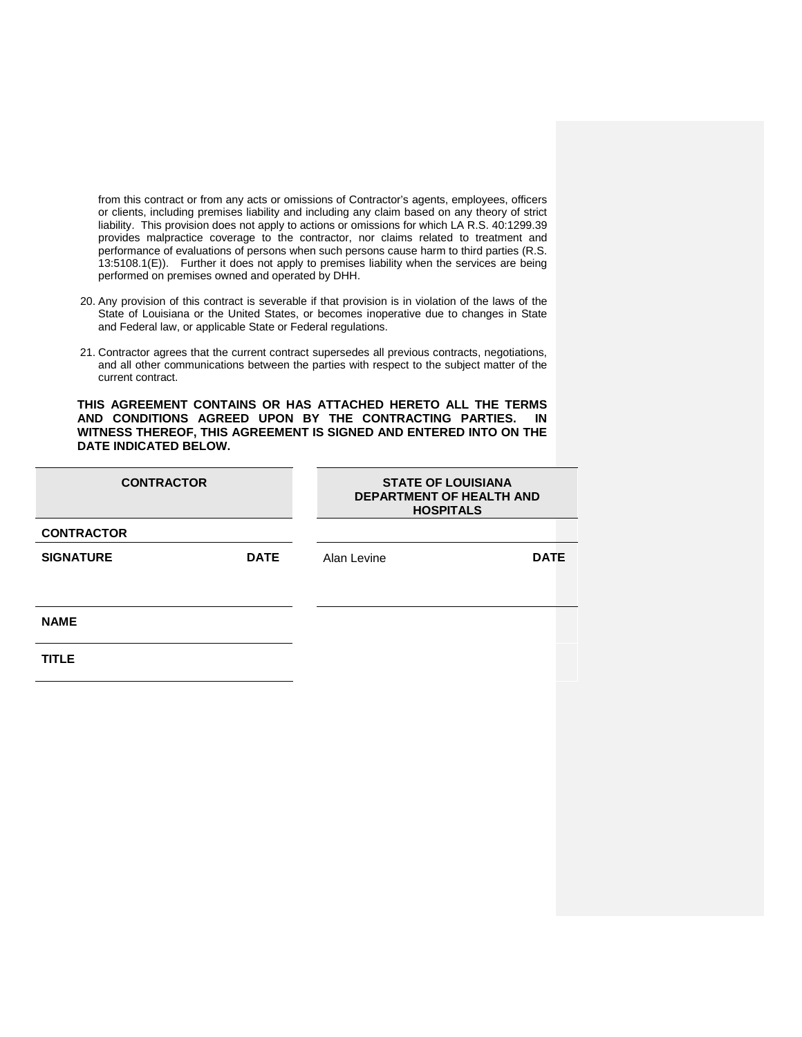from this contract or from any acts or omissions of Contractor's agents, employees, officers or clients, including premises liability and including any claim based on any theory of strict liability.This provision does not apply to actions or omissions for which LA R.S. 40:1299.39 provides malpractice coverage to the contractor, nor claims related to treatment and performance of evaluations of persons when such persons cause harm to third parties (R.S. 13:5108.1(E)). Further it does not apply to premises liability when the services are being performed on premises owned and operated by DHH.

- 20. Any provision of this contract is severable if that provision is in violation of the laws of the State of Louisiana or the United States, or becomes inoperative due to changes in State and Federal law, or applicable State or Federal regulations.
- 21. Contractor agrees that the current contract supersedes all previous contracts, negotiations, and all other communications between the parties with respect to the subject matter of the current contract.

**THIS AGREEMENT CONTAINS OR HAS ATTACHED HERETO ALL THE TERMS**  AND CONDITIONS AGREED UPON BY THE CONTRACTING PARTIES. **WITNESS THEREOF, THIS AGREEMENT IS SIGNED AND ENTERED INTO ON THE DATE INDICATED BELOW.**

| <b>CONTRACTOR</b> |             | <b>STATE OF LOUISIANA</b><br>DEPARTMENT OF HEALTH AND<br><b>HOSPITALS</b> |             |  |
|-------------------|-------------|---------------------------------------------------------------------------|-------------|--|
| <b>CONTRACTOR</b> |             |                                                                           |             |  |
| <b>SIGNATURE</b>  | <b>DATE</b> | Alan Levine                                                               | <b>DATE</b> |  |
|                   |             |                                                                           |             |  |
| <b>NAME</b>       |             |                                                                           |             |  |
| <b>TITLE</b>      |             |                                                                           |             |  |
|                   |             |                                                                           |             |  |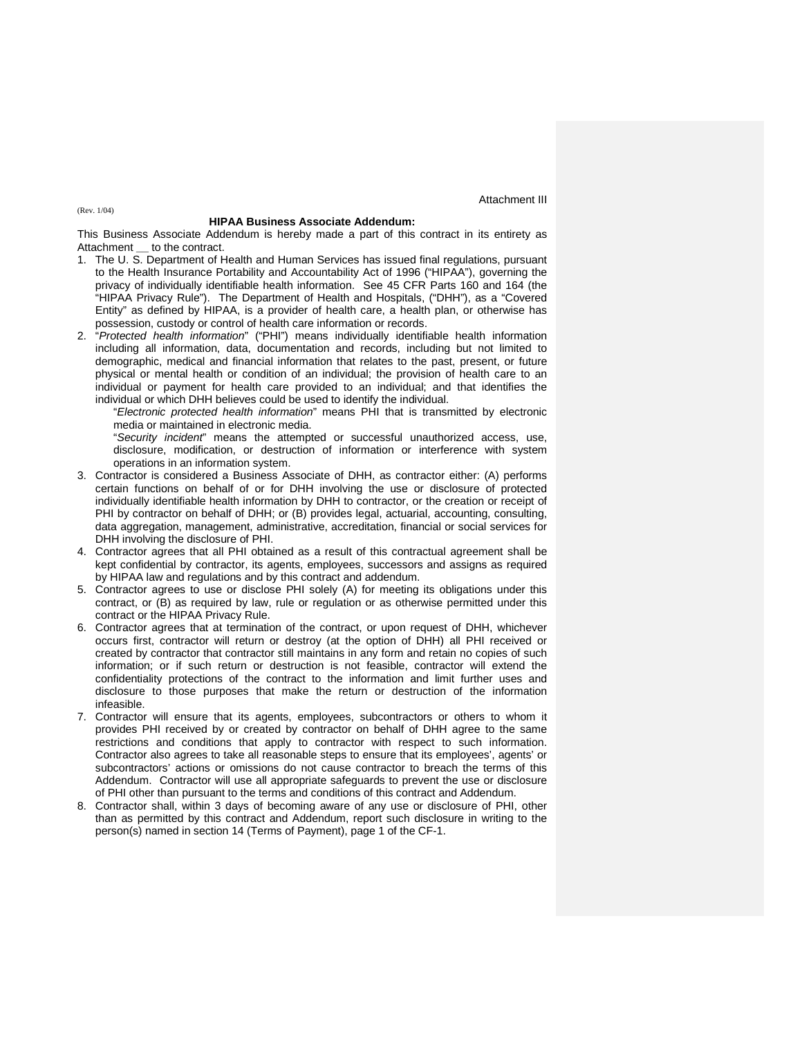Attachment III

#### **HIPAA Business Associate Addendum:**

This Business Associate Addendum is hereby made a part of this contract in its entirety as Attachment **\_\_** to the contract.

- 1. The U. S. Department of Health and Human Services has issued final regulations, pursuant to the Health Insurance Portability and Accountability Act of 1996 ("HIPAA"), governing the privacy of individually identifiable health information. See 45 CFR Parts 160 and 164 (the "HIPAA Privacy Rule"). The Department of Health and Hospitals, ("DHH"), as a "Covered Entity" as defined by HIPAA, is a provider of health care, a health plan, or otherwise has possession, custody or control of health care information or records.
- 2. "*Protected health information*" ("PHI") means individually identifiable health information including all information, data, documentation and records, including but not limited to demographic, medical and financial information that relates to the past, present, or future physical or mental health or condition of an individual; the provision of health care to an individual or payment for health care provided to an individual; and that identifies the individual or which DHH believes could be used to identify the individual.

"*Electronic protected health information*" means PHI that is transmitted by electronic media or maintained in electronic media.

"*Security incident*" means the attempted or successful unauthorized access, use, disclosure, modification, or destruction of information or interference with system operations in an information system.

- 3. Contractor is considered a Business Associate of DHH, as contractor either: (A) performs certain functions on behalf of or for DHH involving the use or disclosure of protected individually identifiable health information by DHH to contractor, or the creation or receipt of PHI by contractor on behalf of DHH; or (B) provides legal, actuarial, accounting, consulting, data aggregation, management, administrative, accreditation, financial or social services for DHH involving the disclosure of PHI.
- 4. Contractor agrees that all PHI obtained as a result of this contractual agreement shall be kept confidential by contractor, its agents, employees, successors and assigns as required by HIPAA law and regulations and by this contract and addendum.
- 5. Contractor agrees to use or disclose PHI solely (A) for meeting its obligations under this contract, or (B) as required by law, rule or regulation or as otherwise permitted under this contract or the HIPAA Privacy Rule.
- 6. Contractor agrees that at termination of the contract, or upon request of DHH, whichever occurs first, contractor will return or destroy (at the option of DHH) all PHI received or created by contractor that contractor still maintains in any form and retain no copies of such information; or if such return or destruction is not feasible, contractor will extend the confidentiality protections of the contract to the information and limit further uses and disclosure to those purposes that make the return or destruction of the information infeasible.
- 7. Contractor will ensure that its agents, employees, subcontractors or others to whom it provides PHI received by or created by contractor on behalf of DHH agree to the same restrictions and conditions that apply to contractor with respect to such information. Contractor also agrees to take all reasonable steps to ensure that its employees', agents' or subcontractors' actions or omissions do not cause contractor to breach the terms of this Addendum. Contractor will use all appropriate safeguards to prevent the use or disclosure of PHI other than pursuant to the terms and conditions of this contract and Addendum.
- 8. Contractor shall, within 3 days of becoming aware of any use or disclosure of PHI, other than as permitted by this contract and Addendum, report such disclosure in writing to the person(s) named in section 14 (Terms of Payment), page 1 of the CF-1.

(Rev. 1/04)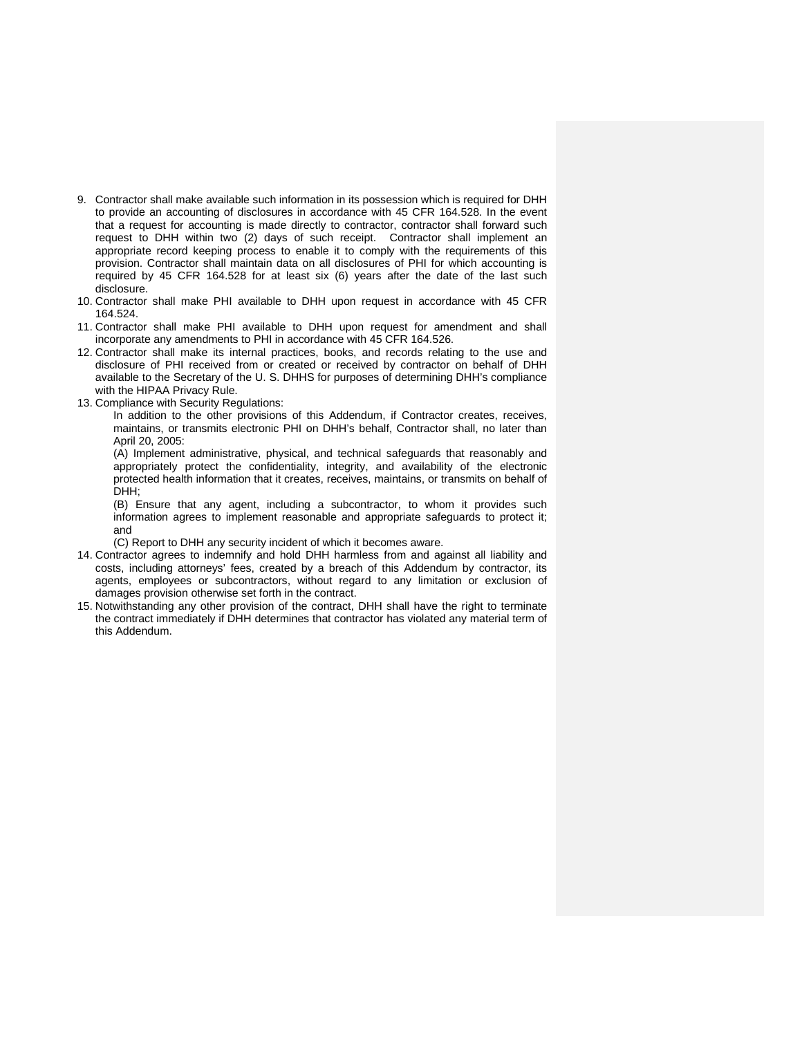- 9. Contractor shall make available such information in its possession which is required for DHH to provide an accounting of disclosures in accordance with 45 CFR 164.528. In the event that a request for accounting is made directly to contractor, contractor shall forward such request to DHH within two (2) days of such receipt. Contractor shall implement an appropriate record keeping process to enable it to comply with the requirements of this provision. Contractor shall maintain data on all disclosures of PHI for which accounting is required by 45 CFR 164.528 for at least six (6) years after the date of the last such disclosure.
- 10. Contractor shall make PHI available to DHH upon request in accordance with 45 CFR 164.524.
- 11. Contractor shall make PHI available to DHH upon request for amendment and shall incorporate any amendments to PHI in accordance with 45 CFR 164.526.
- 12. Contractor shall make its internal practices, books, and records relating to the use and disclosure of PHI received from or created or received by contractor on behalf of DHH available to the Secretary of the U. S. DHHS for purposes of determining DHH's compliance with the HIPAA Privacy Rule.
- 13. Compliance with Security Regulations:

In addition to the other provisions of this Addendum, if Contractor creates, receives, maintains, or transmits electronic PHI on DHH's behalf, Contractor shall, no later than April 20, 2005:

(A) Implement administrative, physical, and technical safeguards that reasonably and appropriately protect the confidentiality, integrity, and availability of the electronic protected health information that it creates, receives, maintains, or transmits on behalf of DHH;

(B) Ensure that any agent, including a subcontractor, to whom it provides such information agrees to implement reasonable and appropriate safeguards to protect it; and

(C) Report to DHH any security incident of which it becomes aware.

- 14. Contractor agrees to indemnify and hold DHH harmless from and against all liability and costs, including attorneys' fees, created by a breach of this Addendum by contractor, its agents, employees or subcontractors, without regard to any limitation or exclusion of damages provision otherwise set forth in the contract.
- 15. Notwithstanding any other provision of the contract, DHH shall have the right to terminate the contract immediately if DHH determines that contractor has violated any material term of this Addendum.